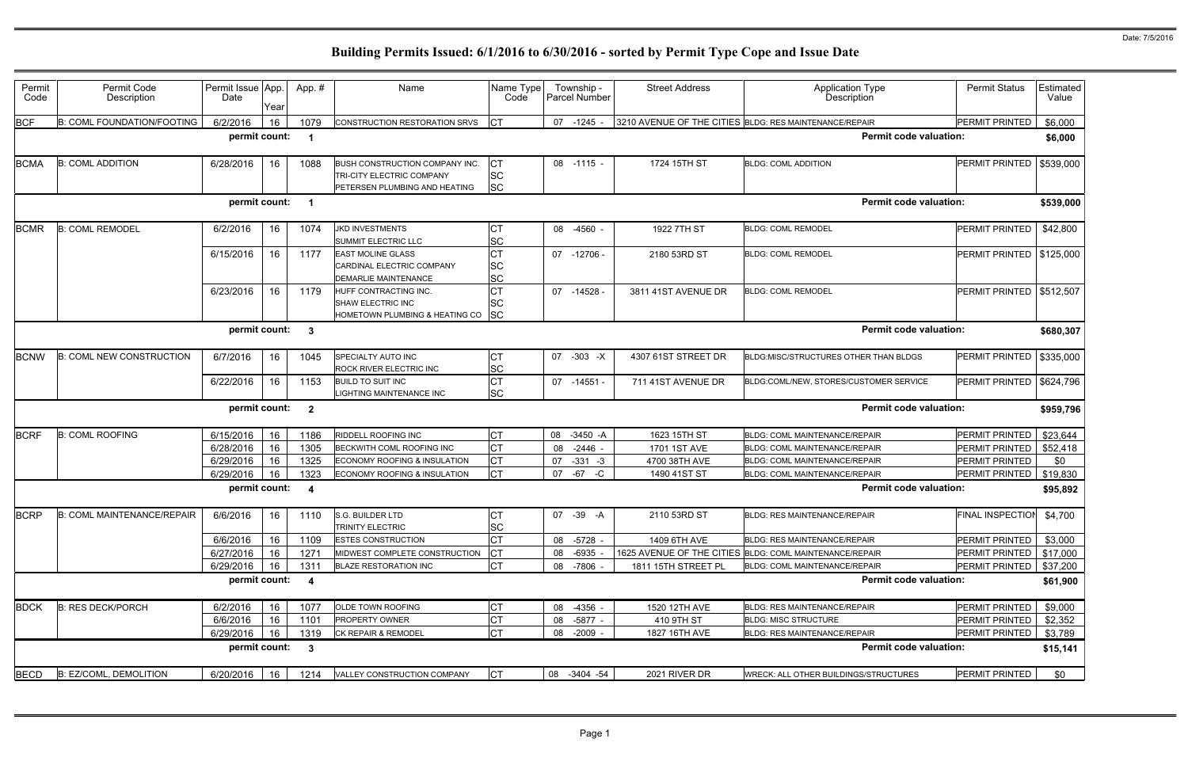| Permit<br>Code | Permit Code<br>Description        | Permit Issue App.<br>Date | Year | App.#                   | Name                                                                                                | Name Type<br>Code                   | Township -<br><b>Parcel Number</b> | <b>Street Address</b> | <b>Application Type</b><br>Description                  | <b>Permit Status</b>      | Estimated<br>Value |
|----------------|-----------------------------------|---------------------------|------|-------------------------|-----------------------------------------------------------------------------------------------------|-------------------------------------|------------------------------------|-----------------------|---------------------------------------------------------|---------------------------|--------------------|
| <b>BCF</b>     | <b>B: COML FOUNDATION/FOOTING</b> | 6/2/2016                  | 16   | 1079                    | CONSTRUCTION RESTORATION SRVS                                                                       | <b>ICT</b>                          | 07 -1245                           |                       | 3210 AVENUE OF THE CITIES BLDG: RES MAINTENANCE/REPAIR  | PERMIT PRINTED            | \$6,000            |
|                |                                   | permit count:             |      | - 1                     |                                                                                                     |                                     |                                    |                       | <b>Permit code valuation:</b>                           |                           | \$6,000            |
| <b>BCMA</b>    | <b>B: COML ADDITION</b>           | 6/28/2016                 | 16   | 1088                    | <b>BUSH CONSTRUCTION COMPANY INC.</b><br>TRI-CITY ELECTRIC COMPANY<br>PETERSEN PLUMBING AND HEATING | Iст<br><b>SC</b><br><b>SC</b>       | 08 -1115 -                         | 1724 15TH ST          | <b>BLDG: COML ADDITION</b>                              | PERMIT PRINTED            | \$539,000          |
|                |                                   | permit count:             |      | - 1                     |                                                                                                     |                                     |                                    |                       | <b>Permit code valuation:</b>                           |                           | \$539,000          |
| <b>BCMR</b>    | <b>B: COML REMODEL</b>            | 6/2/2016                  | 16   | 1074                    | <b>JKD INVESTMENTS</b><br>SUMMIT ELECTRIC LLC                                                       | СT<br><b>SC</b>                     | 08 -4560                           | 1922 7TH ST           | <b>BLDG: COML REMODEL</b>                               | <b>PERMIT PRINTED</b>     | \$42,800           |
|                |                                   | 6/15/2016                 | 16   | 1177                    | <b>EAST MOLINE GLASS</b><br>CARDINAL ELECTRIC COMPANY<br><b>DEMARLIE MAINTENANCE</b>                | <b>CT</b><br><b>SC</b><br><b>SC</b> | 07 -12706 -                        | 2180 53RD ST          | <b>BLDG: COML REMODEL</b>                               | PERMIT PRINTED            | \$125,000          |
|                |                                   | 6/23/2016                 | 16   | 1179                    | HUFF CONTRACTING INC.<br>SHAW ELECTRIC INC<br>HOMETOWN PLUMBING & HEATING CO                        | <b>CT</b><br>lSC<br> SC             | 07 -14528                          | 3811 41ST AVENUE DR   | <b>BLDG: COML REMODEL</b>                               | PERMIT PRINTED            | \$512,507          |
|                |                                   | permit count:             |      | $\mathbf{3}$            |                                                                                                     |                                     |                                    |                       | <b>Permit code valuation:</b>                           |                           | \$680,307          |
| <b>BCNW</b>    | <b>B: COML NEW CONSTRUCTION</b>   | 6/7/2016                  | 16   | 1045                    | <b>SPECIALTY AUTO INC</b><br>ROCK RIVER ELECTRIC INC                                                | СT<br><b>SC</b>                     | 07<br>$-303 - X$                   | 4307 61ST STREET DR   | BLDG:MISC/STRUCTURES OTHER THAN BLDGS                   | PERMIT PRINTED            | \$335,000          |
|                |                                   | 6/22/2016                 | 16   | 1153                    | <b>BUILD TO SUIT INC</b><br>LIGHTING MAINTENANCE INC                                                | <b>CT</b><br><b>SC</b>              | $-14551 -$<br>07                   | 711 41ST AVENUE DR    | BLDG:COML/NEW, STORES/CUSTOMER SERVICE                  | PERMIT PRINTED            | \$624,796          |
|                |                                   | permit count:             |      | $\overline{\mathbf{2}}$ |                                                                                                     |                                     |                                    |                       | <b>Permit code valuation:</b>                           |                           | \$959,796          |
| <b>BCRF</b>    | <b>B: COML ROOFING</b>            | 6/15/2016                 | 16   | 1186                    | RIDDELL ROOFING INC                                                                                 | Iст                                 | 08<br>$-3450 - A$                  | 1623 15TH ST          | BLDG: COML MAINTENANCE/REPAIR                           | PERMIT PRINTED            | \$23,644           |
|                |                                   | 6/28/2016                 | 16   | 1305                    | BECKWITH COML ROOFING INC                                                                           | <b>CT</b>                           | 08<br>$-2446$                      | 1701 1ST AVE          | BLDG: COML MAINTENANCE/REPAIR                           | PERMIT PRINTED            | \$52,418           |
|                |                                   | 6/29/2016                 | 16   | 1325                    | <b>ECONOMY ROOFING &amp; INSULATION</b>                                                             | Iст                                 | $-331 - 3$<br>07                   | 4700 38TH AVE         | BLDG: COML MAINTENANCE/REPAIR                           | PERMIT PRINTED            | \$0                |
|                |                                   | 6/29/2016                 | 16   | 1323                    | ECONOMY ROOFING & INSULATION                                                                        | <b>ICT</b>                          | 07<br>$-67$<br>-C                  | 1490 41ST ST          | BLDG: COML MAINTENANCE/REPAIR                           | PERMIT PRINTED            | \$19,830           |
|                |                                   | permit count:             |      | -4                      |                                                                                                     |                                     |                                    |                       | <b>Permit code valuation:</b>                           |                           | \$95,892           |
|                | BCRP B: COML MAINTENANCE/REPAIR   | 6/6/2016                  |      |                         | 16   1110   S.G. BUILDER LTD<br><b>TRINITY ELECTRIC</b>                                             | CT<br><b>SC</b>                     | 07 -39 -A                          | 2110 53RD ST          | BLDG: RES MAINTENANCE/REPAIR                            | FINAL INSPECTION \$4,700  |                    |
|                |                                   | 6/6/2016                  | 16   | 1109                    | <b>ESTES CONSTRUCTION</b>                                                                           | Iст                                 | 08 -5728 -                         | 1409 6TH AVE          | <b>BLDG: RES MAINTENANCE/REPAIR</b>                     | PERMIT PRINTED            | \$3,000            |
|                |                                   | 6/27/2016                 | 16   | 1271                    | MIDWEST COMPLETE CONSTRUCTION                                                                       | <b>ICT</b>                          | 08<br>$-6935$ .                    |                       | 1625 AVENUE OF THE CITIES BLDG: COML MAINTENANCE/REPAIR | PERMIT PRINTED   \$17,000 |                    |
|                |                                   | 6/29/2016                 | 16   | 1311                    | <b>BLAZE RESTORATION INC</b>                                                                        | <b>CT</b>                           | 08<br>-7806 -                      | 1811 15TH STREET PL   | BLDG: COML MAINTENANCE/REPAIR                           | <b>PERMIT PRINTED</b>     | \$37,200           |
|                |                                   | permit count:             |      | $\overline{\mathbf{4}}$ |                                                                                                     |                                     |                                    |                       | <b>Permit code valuation:</b>                           |                           | \$61,900           |
| <b>BDCK</b>    | <b>B: RES DECK/PORCH</b>          | 6/2/2016                  | 16   | 1077                    | OLDE TOWN ROOFING                                                                                   | <b>CT</b>                           | 08 -4356 -                         | 1520 12TH AVE         | BLDG: RES MAINTENANCE/REPAIR                            | PERMIT PRINTED            | \$9,000            |
|                |                                   | 6/6/2016                  | 16   | 1101                    | <b>PROPERTY OWNER</b>                                                                               | Iст                                 | 08<br>-5877 -                      | 410 9TH ST            | <b>BLDG: MISC STRUCTURE</b>                             | PERMIT PRINTED            | \$2,352            |
|                |                                   | 6/29/2016                 | 16   | 1319                    | CK REPAIR & REMODEL                                                                                 | <b>CT</b>                           | 08 -2009 -                         | 1827 16TH AVE         | <b>BLDG: RES MAINTENANCE/REPAIR</b>                     | PERMIT PRINTED            | \$3,789            |
|                |                                   | permit count:             |      | $\overline{\mathbf{3}}$ |                                                                                                     |                                     |                                    |                       | <b>Permit code valuation:</b>                           |                           | \$15,141           |
| <b>BECD</b>    | B: EZ/COML, DEMOLITION            | 6/20/2016                 | 16   | 1214                    | VALLEY CONSTRUCTION COMPANY                                                                         | CT                                  | 08 -3404 -54                       | 2021 RIVER DR         | WRECK: ALL OTHER BUILDINGS/STRUCTURES                   | PERMIT PRINTED            | \$0                |
|                |                                   |                           |      |                         |                                                                                                     |                                     |                                    |                       |                                                         |                           |                    |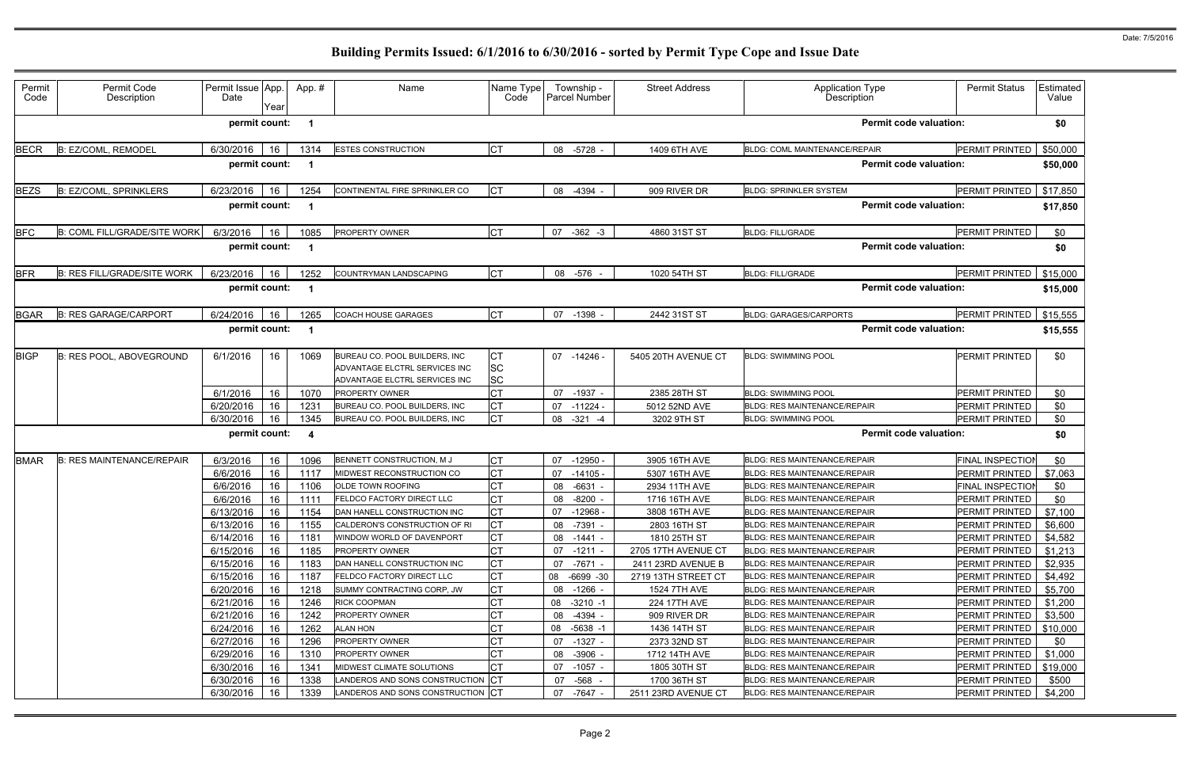| Permit<br>Code | Permit Code<br>Description         | Permit Issue App.<br>Date | Year          | App.#                    | Name                                                                                            | Name Type<br>Code             | Township -<br><b>Parcel Number</b> | <b>Street Address</b>          | <b>Application Type</b><br>Description                                     | <b>Permit Status</b>                     | Estimated<br>Value  |
|----------------|------------------------------------|---------------------------|---------------|--------------------------|-------------------------------------------------------------------------------------------------|-------------------------------|------------------------------------|--------------------------------|----------------------------------------------------------------------------|------------------------------------------|---------------------|
|                |                                    | permit count:             |               | - 1                      |                                                                                                 |                               |                                    |                                | <b>Permit code valuation:</b>                                              |                                          | \$0                 |
| <b>BECR</b>    | B: EZ/COML, REMODEL                | 6/30/2016                 | 16            | 1314                     | <b>ESTES CONSTRUCTION</b>                                                                       | <b>CT</b>                     | 08 -5728 -                         | 1409 6TH AVE                   | <b>BLDG: COML MAINTENANCE/REPAIR</b>                                       | PERMIT PRINTED                           | \$50,000            |
|                |                                    |                           | permit count: | - 1                      |                                                                                                 |                               |                                    |                                | <b>Permit code valuation:</b>                                              |                                          | \$50,000            |
| <b>BEZS</b>    | <b>B: EZ/COML, SPRINKLERS</b>      | 6/23/2016                 | 16            | 1254                     | CONTINENTAL FIRE SPRINKLER CO                                                                   | <b>CT</b>                     | 08 -4394 -                         | 909 RIVER DR                   | <b>BLDG: SPRINKLER SYSTEM</b>                                              | PERMIT PRINTED                           | \$17,850            |
|                |                                    |                           | permit count: | - 1                      |                                                                                                 |                               |                                    |                                | <b>Permit code valuation:</b>                                              |                                          | \$17,850            |
| <b>BFC</b>     | B: COML FILL/GRADE/SITE WORK       | 6/3/2016                  | 16            | 1085                     | <b>PROPERTY OWNER</b>                                                                           | <b>CT</b>                     | 07<br>$-362 -3$                    | 4860 31ST ST                   | <b>BLDG: FILL/GRADE</b>                                                    | PERMIT PRINTED                           | \$0                 |
|                |                                    |                           | permit count: | - 1                      |                                                                                                 |                               |                                    |                                | <b>Permit code valuation:</b>                                              |                                          | \$0                 |
| <b>BFR</b>     | <b>B: RES FILL/GRADE/SITE WORK</b> | 6/23/2016                 | 16            | 1252                     | COUNTRYMAN LANDSCAPING                                                                          | <b>CT</b>                     | 08 -576                            | 1020 54TH ST                   | <b>BLDG: FILL/GRADE</b>                                                    | PERMIT PRINTED                           | \$15,000            |
|                |                                    | permit count:             |               | - 1                      |                                                                                                 |                               |                                    |                                | <b>Permit code valuation:</b>                                              |                                          | \$15,000            |
| BGAR           | <b>B: RES GARAGE/CARPORT</b>       | 6/24/2016                 | 16            | 1265                     | <b>COACH HOUSE GARAGES</b>                                                                      | <b>CT</b>                     | 07<br>$-1398 -$                    | 2442 31ST ST                   | <b>BLDG: GARAGES/CARPORTS</b>                                              | PERMIT PRINTED                           | \$15,555            |
|                |                                    |                           | permit count: | $\overline{\phantom{a}}$ |                                                                                                 |                               |                                    |                                | <b>Permit code valuation:</b>                                              |                                          | \$15,555            |
| <b>BIGP</b>    | <b>B: RES POOL, ABOVEGROUND</b>    | 6/1/2016                  | 16            | 1069                     | BUREAU CO. POOL BUILDERS, INC<br>ADVANTAGE ELCTRL SERVICES INC<br>ADVANTAGE ELCTRL SERVICES INC | IСТ<br><b>SC</b><br><b>SC</b> | 07 -14246 -                        | 5405 20TH AVENUE CT            | <b>BLDG: SWIMMING POOL</b>                                                 | <b>PERMIT PRINTED</b>                    | \$0                 |
|                |                                    | 6/1/2016                  | 16            | 1070                     | <b>PROPERTY OWNER</b>                                                                           | <b>CT</b>                     | $-1937 -$<br>07                    | 2385 28TH ST                   | <b>BLDG: SWIMMING POOL</b>                                                 | PERMIT PRINTED                           | \$0                 |
|                |                                    | 6/20/2016                 | 16            | 1231                     | BUREAU CO. POOL BUILDERS, INC                                                                   | <b>CT</b>                     | 07<br>$-11224$ $-$                 | 5012 52ND AVE                  | <b>BLDG: RES MAINTENANCE/REPAIR</b>                                        | PERMIT PRINTED                           | \$0                 |
|                |                                    | 6/30/2016                 | 16            | 1345                     | BUREAU CO. POOL BUILDERS, INC                                                                   | Iст                           | $-321$<br>08<br>-4                 | 3202 9TH ST                    | <b>BLDG: SWIMMING POOL</b>                                                 | PERMIT PRINTED                           | \$0                 |
|                |                                    |                           | permit count: | $\overline{\mathbf{A}}$  |                                                                                                 |                               |                                    |                                | <b>Permit code valuation:</b>                                              |                                          | \$0                 |
| <b>BMAR</b>    | <b>B: RES MAINTENANCE/REPAIR</b>   | 6/3/2016                  | 16            | 1096                     | BENNETT CONSTRUCTION, M J                                                                       | IСТ                           | $-12950 -$<br>07                   | 3905 16TH AVE                  | <b>BLDG: RES MAINTENANCE/REPAIR</b>                                        | FINAL INSPECTIO                          | \$0                 |
|                |                                    | 6/6/2016                  | 16            | 1117                     | <b>MIDWEST RECONSTRUCTION CO</b>                                                                | <b>CT</b>                     | 07<br>-14105 -                     | 5307 16TH AVE                  | <b>BLDG: RES MAINTENANCE/REPAIR</b>                                        | PERMIT PRINTED                           | \$7,063             |
|                |                                    | 6/6/2016<br>6/6/2016      | 16<br>16      | 1106<br>1111             | <b>OLDE TOWN ROOFING</b><br>FELDCO FACTORY DIRECT LLC                                           | <b>CT</b><br>Iст              | $-6631$<br>08<br>08<br>$-8200 -$   | 2934 11TH AVE<br>1716 16TH AVE | <b>BLDG: RES MAINTENANCE/REPAIR</b><br><b>BLDG: RES MAINTENANCE/REPAIR</b> | <b>FINAL INSPECTIO</b><br>PERMIT PRINTED | \$0<br>\$0          |
|                |                                    | 6/13/2016 16              |               | 1154                     | DAN HANELL CONSTRUCTION INC                                                                     | <b>CT</b>                     | 07 -12968                          | 3808 16TH AVE                  | BLDG: RES MAINTENANCE/REPAIR                                               | PERMIT PRINTED   \$7,100                 |                     |
|                |                                    | 6/13/2016                 | 16            | 1155                     | CALDERON'S CONSTRUCTION OF RI                                                                   | Iст                           | 08 -7391 -                         | 2803 16TH ST                   | <b>BLDG: RES MAINTENANCE/REPAIR</b>                                        | PERMIT PRINTED                           | \$6,600             |
|                |                                    | 6/14/2016                 | 16            | 1181                     | WINDOW WORLD OF DAVENPORT                                                                       | IСТ                           | 08 -1441 -                         | 1810 25TH ST                   | <b>BLDG: RES MAINTENANCE/REPAIR</b>                                        | PERMIT PRINTED                           | \$4,582             |
|                |                                    | 6/15/2016                 | 16            | 1185                     | <b>PROPERTY OWNER</b>                                                                           | <b>CT</b>                     | $07 - 1211 -$                      | 2705 17TH AVENUE CT            | <b>BLDG: RES MAINTENANCE/REPAIR</b>                                        | PERMIT PRINTED                           | \$1,213             |
|                |                                    | 6/15/2016                 | 16            | 1183                     | DAN HANELL CONSTRUCTION INC                                                                     | Iст                           | 07 -7671 -                         | 2411 23RD AVENUE B             | BLDG: RES MAINTENANCE/REPAIR                                               | <b>PERMIT PRINTED</b>                    | \$2,935             |
|                |                                    | 6/15/2016                 | 16            | 1187                     | FELDCO FACTORY DIRECT LLC                                                                       | Iст                           | 08<br>-6699 -30                    | 2719 13TH STREET CT            | BLDG: RES MAINTENANCE/REPAIR                                               | PERMIT PRINTED                           | \$4,492             |
|                |                                    | 6/20/2016                 | 16            | 1218                     | SUMMY CONTRACTING CORP, JW                                                                      | <b>CT</b>                     | 08<br>-1266 -                      | <b>1524 7TH AVE</b>            | <b>BLDG: RES MAINTENANCE/REPAIR</b>                                        | PERMIT PRINTED                           | \$5,700             |
|                |                                    | 6/21/2016                 | 16            | 1246                     | RICK COOPMAN                                                                                    | <b>CT</b>                     | $-3210 - 1$<br>08                  | 224 17TH AVE                   | <b>BLDG: RES MAINTENANCE/REPAIR</b>                                        | PERMIT PRINTED                           | \$1,200             |
|                |                                    | 6/21/2016<br>6/24/2016    | 16<br>16      | 1242<br>1262             | PROPERTY OWNER<br>ALAN HON                                                                      | СT<br><b>CT</b>               | 08<br>-4394 -<br>08 -5638 -1       | 909 RIVER DR<br>1436 14TH ST   | <b>BLDG: RES MAINTENANCE/REPAIR</b><br>BLDG: RES MAINTENANCE/REPAIR        | PERMIT PRINTED<br>PERMIT PRINTED         | \$3,500<br>\$10,000 |
|                |                                    | 6/27/2016                 | 16            | 1296                     | PROPERTY OWNER                                                                                  | <b>CT</b>                     | 07<br>-1327 -                      | 2373 32ND ST                   | <b>BLDG: RES MAINTENANCE/REPAIR</b>                                        | PERMIT PRINTED                           | \$0                 |
|                |                                    | 6/29/2016                 | 16            | 1310                     | <b>PROPERTY OWNER</b>                                                                           | <b>CT</b>                     | 08 -3906 -                         | 1712 14TH AVE                  | <b>BLDG: RES MAINTENANCE/REPAIR</b>                                        | PERMIT PRINTED                           | \$1,000             |
|                |                                    | 6/30/2016                 | 16            | 1341                     | MIDWEST CLIMATE SOLUTIONS                                                                       | IСТ                           | 07 -1057 -                         | 1805 30TH ST                   | <b>BLDG: RES MAINTENANCE/REPAIR</b>                                        | PERMIT PRINTED                           | \$19,000            |
|                |                                    | 6/30/2016                 | 16            | 1338                     | LANDEROS AND SONS CONSTRUCTION CT                                                               |                               | 07 -568 -                          | 1700 36TH ST                   | <b>BLDG: RES MAINTENANCE/REPAIR</b>                                        | PERMIT PRINTED                           | \$500               |
|                |                                    | 6/30/2016                 | 16            | 1339                     | LANDEROS AND SONS CONSTRUCTION CT                                                               |                               | 07 -7647 -                         | 2511 23RD AVENUE CT            | <b>BLDG: RES MAINTENANCE/REPAIR</b>                                        | PERMIT PRINTED                           | \$4,200             |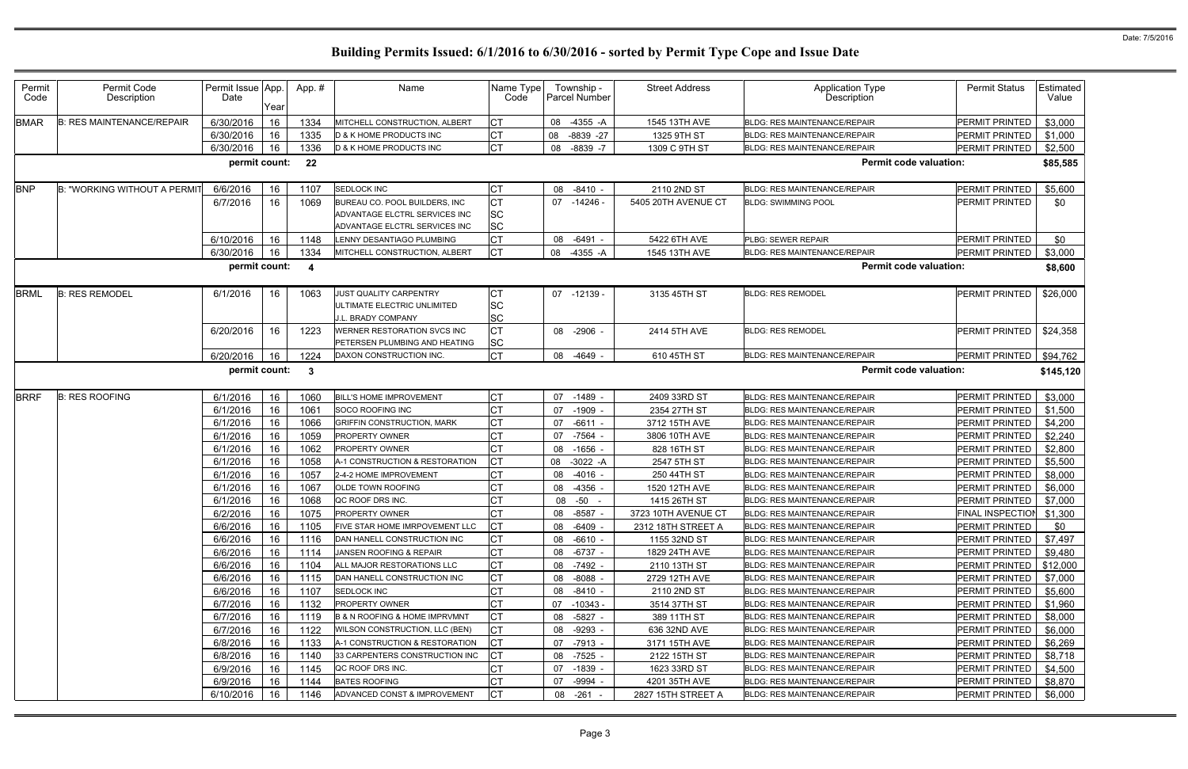| Permit<br>Code | Permit Code<br>Description          | Permit Issue App.<br>Date | Year | App.#                   | Name                                                                                            | Name Type<br>Code             | Township -<br><b>Parcel Number</b> | <b>Street Address</b> | <b>Application Type</b><br>Description | <b>Permit Status</b>     | Estimated<br>Value |
|----------------|-------------------------------------|---------------------------|------|-------------------------|-------------------------------------------------------------------------------------------------|-------------------------------|------------------------------------|-----------------------|----------------------------------------|--------------------------|--------------------|
| <b>BMAR</b>    | <b>B: RES MAINTENANCE/REPAIR</b>    | 6/30/2016                 | 16   | 1334                    | MITCHELL CONSTRUCTION, ALBERT                                                                   | <b>CT</b>                     | 08<br>$-4355 - A$                  | 1545 13TH AVE         | <b>BLDG: RES MAINTENANCE/REPAIR</b>    | PERMIT PRINTED           | \$3,000            |
|                |                                     | 6/30/2016                 | 16   | 1335                    | <b>D &amp; K HOME PRODUCTS INC</b>                                                              | Iст                           | 08<br>$-8839 -27$                  | 1325 9TH ST           | <b>BLDG: RES MAINTENANCE/REPAIR</b>    | PERMIT PRINTED           | \$1,000            |
|                |                                     | 6/30/2016                 | 16   | 1336                    | D & K HOME PRODUCTS INC                                                                         | <b>CT</b>                     | 08<br>$-8839 - 7$                  | 1309 C 9TH ST         | <b>BLDG: RES MAINTENANCE/REPAIR</b>    | PERMIT PRINTED           | \$2,500            |
|                |                                     | permit count:             |      | -22                     |                                                                                                 |                               |                                    |                       | <b>Permit code valuation:</b>          |                          | \$85,585           |
| <b>BNP</b>     | <b>B: "WORKING WITHOUT A PERMIT</b> | 6/6/2016                  | 16   | 1107                    | <b>SEDLOCK INC</b>                                                                              | <b>CT</b>                     | 08<br>$-8410$                      | 2110 2ND ST           | <b>BLDG: RES MAINTENANCE/REPAIR</b>    | PERMIT PRINTED           | \$5,600            |
|                |                                     | 6/7/2016                  | 16   | 1069                    | BUREAU CO. POOL BUILDERS, INC<br>ADVANTAGE ELCTRL SERVICES INC<br>ADVANTAGE ELCTRL SERVICES INC | Iст<br><b>SC</b><br><b>SC</b> | 07<br>-14246 -                     | 5405 20TH AVENUE CT   | <b>BLDG: SWIMMING POOL</b>             | PERMIT PRINTED           | \$0                |
|                |                                     | 6/10/2016                 | 16   | 1148                    | LENNY DESANTIAGO PLUMBING                                                                       | <b>CT</b>                     | 08<br>$-6491 -$                    | 5422 6TH AVE          | PLBG: SEWER REPAIR                     | PERMIT PRINTED           | \$0                |
|                |                                     | 6/30/2016                 | 16   | 1334                    | MITCHELL CONSTRUCTION, ALBERT                                                                   | <b>ICT</b>                    | 08<br>-4355 -A                     | 1545 13TH AVE         | <b>BLDG: RES MAINTENANCE/REPAIR</b>    | PERMIT PRINTED           | \$3,000            |
|                |                                     | permit count:             |      | $\overline{\mathbf{4}}$ |                                                                                                 |                               |                                    |                       | <b>Permit code valuation:</b>          |                          | \$8,600            |
| <b>BRML</b>    | <b>B: RES REMODEL</b>               | 6/1/2016                  | 16   | 1063                    | JUST QUALITY CARPENTRY<br>ULTIMATE ELECTRIC UNLIMITED<br><b>J.L. BRADY COMPANY</b>              | СT<br><b>SC</b><br><b>SC</b>  | 07 -12139 -                        | 3135 45TH ST          | <b>BLDG: RES REMODEL</b>               | PERMIT PRINTED           | \$26,000           |
|                |                                     | 6/20/2016                 | 16   | 1223                    | WERNER RESTORATION SVCS INC<br>PETERSEN PLUMBING AND HEATING                                    | Iст<br><b>SC</b>              | 08<br>-2906                        | 2414 5TH AVE          | <b>BLDG: RES REMODEL</b>               | PERMIT PRINTED           | \$24,358           |
|                |                                     | 6/20/2016                 | 16   | 1224                    | DAXON CONSTRUCTION INC.                                                                         | CT                            | 08<br>$-4649 -$                    | 610 45TH ST           | <b>BLDG: RES MAINTENANCE/REPAIR</b>    | PERMIT PRINTED           | \$94,762           |
|                |                                     | permit count:             |      | $\mathbf{3}$            |                                                                                                 |                               |                                    |                       | <b>Permit code valuation:</b>          |                          | \$145,120          |
| <b>BRRF</b>    | <b>B: RES ROOFING</b>               | 6/1/2016                  | 16   | 1060                    | <b>BILL'S HOME IMPROVEMENT</b>                                                                  | <b>CT</b>                     | 07<br>$-1489 -$                    | 2409 33RD ST          | <b>BLDG: RES MAINTENANCE/REPAIR</b>    | PERMIT PRINTED           | \$3,000            |
|                |                                     | 6/1/2016                  | 16   | 1061                    | SOCO ROOFING INC                                                                                | <b>CT</b>                     | $-1909$<br>07                      | 2354 27TH ST          | <b>BLDG: RES MAINTENANCE/REPAIR</b>    | PERMIT PRINTED           | \$1,500            |
|                |                                     | 6/1/2016                  | 16   | 1066                    | <b>GRIFFIN CONSTRUCTION, MARK</b>                                                               | Iст                           | 07<br>$-6611$                      | 3712 15TH AVE         | <b>BLDG: RES MAINTENANCE/REPAIR</b>    | PERMIT PRINTED           | \$4,200            |
|                |                                     | 6/1/2016                  | 16   | 1059                    | <b>PROPERTY OWNER</b>                                                                           | <b>CT</b>                     | $-7564$<br>07                      | 3806 10TH AVE         | <b>BLDG: RES MAINTENANCE/REPAIR</b>    | PERMIT PRINTED           | \$2,240            |
|                |                                     | 6/1/2016                  | 16   | 1062                    | <b>PROPERTY OWNER</b>                                                                           | <b>CT</b>                     | 08<br>$-1656$ .                    | 828 16TH ST           | <b>BLDG: RES MAINTENANCE/REPAIR</b>    | PERMIT PRINTED           | \$2,800            |
|                |                                     | 6/1/2016                  | 16   | 1058                    | A-1 CONSTRUCTION & RESTORATION                                                                  | Iст                           | 08<br>$-3022 - A$                  | 2547 5TH ST           | <b>BLDG: RES MAINTENANCE/REPAIR</b>    | <b>PERMIT PRINTED</b>    | \$5,500            |
|                |                                     | 6/1/2016                  | 16   | 1057                    | 2-4-2 HOME IMPROVEMENT                                                                          | <b>CT</b>                     | 08<br>$-4016$ -                    | 250 44TH ST           | <b>BLDG: RES MAINTENANCE/REPAIR</b>    | PERMIT PRINTED           | \$8,000            |
|                |                                     | 6/1/2016                  | 16   | 1067                    | <b>OLDE TOWN ROOFING</b>                                                                        | <b>CT</b>                     | 08<br>$-4356$                      | 1520 12TH AVE         | <b>BLDG: RES MAINTENANCE/REPAIR</b>    | PERMIT PRINTED           | \$6,000            |
|                |                                     | 6/1/2016                  | 16   | 1068                    | QC ROOF DRS INC.                                                                                | <b>CT</b>                     | -50<br>08                          | 1415 26TH ST          | <b>BLDG: RES MAINTENANCE/REPAIR</b>    | PERMIT PRINTED           | \$7,000            |
|                |                                     | 6/2/2016                  | 16 I | 1075                    | <b>PROPERTY OWNER</b>                                                                           | IC L                          | 08<br>-8587 -                      | 3723 10TH AVENUE CT   | <b>BLDG: RES MAINTENANCE/REPAIR</b>    | FINAL INSPECTION \$1,300 |                    |
|                |                                     | 6/6/2016                  | 16   | 1105                    | FIVE STAR HOME IMRPOVEMENT LLC                                                                  | <b>ICT</b>                    | 08<br>$-6409 -$                    | 2312 18TH STREET A    | <b>BLDG: RES MAINTENANCE/REPAIR</b>    | PERMIT PRINTED           | \$0                |
|                |                                     | 6/6/2016                  | 16   | 1116                    | DAN HANELL CONSTRUCTION INC                                                                     | <b>CT</b>                     | 08 -6610 -                         | 1155 32ND ST          | BLDG: RES MAINTENANCE/REPAIR           | PERMIT PRINTED           | \$7,497            |
|                |                                     | 6/6/2016                  | 16   | 1114                    | JANSEN ROOFING & REPAIR                                                                         | <b>CT</b>                     | 08<br>-6737 -                      | 1829 24TH AVE         | <b>BLDG: RES MAINTENANCE/REPAIR</b>    | PERMIT PRINTED           | \$9,480            |
|                |                                     | 6/6/2016                  | 16   | 1104                    | ALL MAJOR RESTORATIONS LLC                                                                      | IСТ                           | 08 -7492 -                         | 2110 13TH ST          | <b>BLDG: RES MAINTENANCE/REPAIR</b>    | PERMIT PRINTED           | \$12,000           |
|                |                                     | 6/6/2016                  | 16   | 1115                    | DAN HANELL CONSTRUCTION INC                                                                     | Iст                           | 08 -8088 -                         | 2729 12TH AVE         | <b>BLDG: RES MAINTENANCE/REPAIR</b>    | PERMIT PRINTED           | \$7,000            |
|                |                                     | 6/6/2016                  | 16   | 1107                    | <b>SEDLOCK INC</b>                                                                              | <b>CT</b>                     | 08<br>$-8410 -$                    | 2110 2ND ST           | <b>BLDG: RES MAINTENANCE/REPAIR</b>    | PERMIT PRINTED           | \$5,600            |
|                |                                     | 6/7/2016                  | 16   | 1132                    | PROPERTY OWNER                                                                                  | <b>CT</b>                     | 07<br>-10343 -                     | 3514 37TH ST          | BLDG: RES MAINTENANCE/REPAIR           | PERMIT PRINTED           | \$1,960            |
|                |                                     | 6/7/2016                  | 16   | 1119                    | B & N ROOFING & HOME IMPRVMNT                                                                   | <b>CT</b>                     | 08<br>-5827 -                      | 389 11TH ST           | <b>BLDG: RES MAINTENANCE/REPAIR</b>    | PERMIT PRINTED           | \$8,000            |
|                |                                     | 6/7/2016                  | 16   | 1122                    | WILSON CONSTRUCTION, LLC (BEN)                                                                  | <b>ICT</b>                    | 08<br>-9293 -                      | 636 32ND AVE          | <b>BLDG: RES MAINTENANCE/REPAIR</b>    | PERMIT PRINTED           | \$6,000            |
|                |                                     | 6/8/2016                  | 16   | 1133                    | A-1 CONSTRUCTION & RESTORATION                                                                  | <b>CT</b>                     | 07 -7913 -                         | 3171 15TH AVE         | <b>BLDG: RES MAINTENANCE/REPAIR</b>    | PERMIT PRINTED           | \$6,269            |
|                |                                     | 6/8/2016                  | 16   | 1140                    | 33 CARPENTERS CONSTRUCTION INC                                                                  | <b>ICT</b>                    | 08 -7525 -                         | 2122 15TH ST          | <b>BLDG: RES MAINTENANCE/REPAIR</b>    | PERMIT PRINTED           | \$8,718            |
|                |                                     | 6/9/2016                  | 16   | 1145                    | QC ROOF DRS INC.                                                                                | Iст                           | 07 -1839 -                         | 1623 33RD ST          | <b>BLDG: RES MAINTENANCE/REPAIR</b>    | PERMIT PRINTED           | \$4,500            |
|                |                                     | 6/9/2016                  | 16   | 1144                    | <b>BATES ROOFING</b>                                                                            | <b>CT</b>                     | 07 -9994 -                         | 4201 35TH AVE         | <b>BLDG: RES MAINTENANCE/REPAIR</b>    | PERMIT PRINTED           | \$8,870            |
|                |                                     | 6/10/2016                 | 16   | 1146                    | ADVANCED CONST & IMPROVEMENT                                                                    | $ _{\rm CT}$                  | 08 -261 -                          | 2827 15TH STREET A    | BLDG: RES MAINTENANCE/REPAIR           | PERMIT PRINTED           | \$6,000            |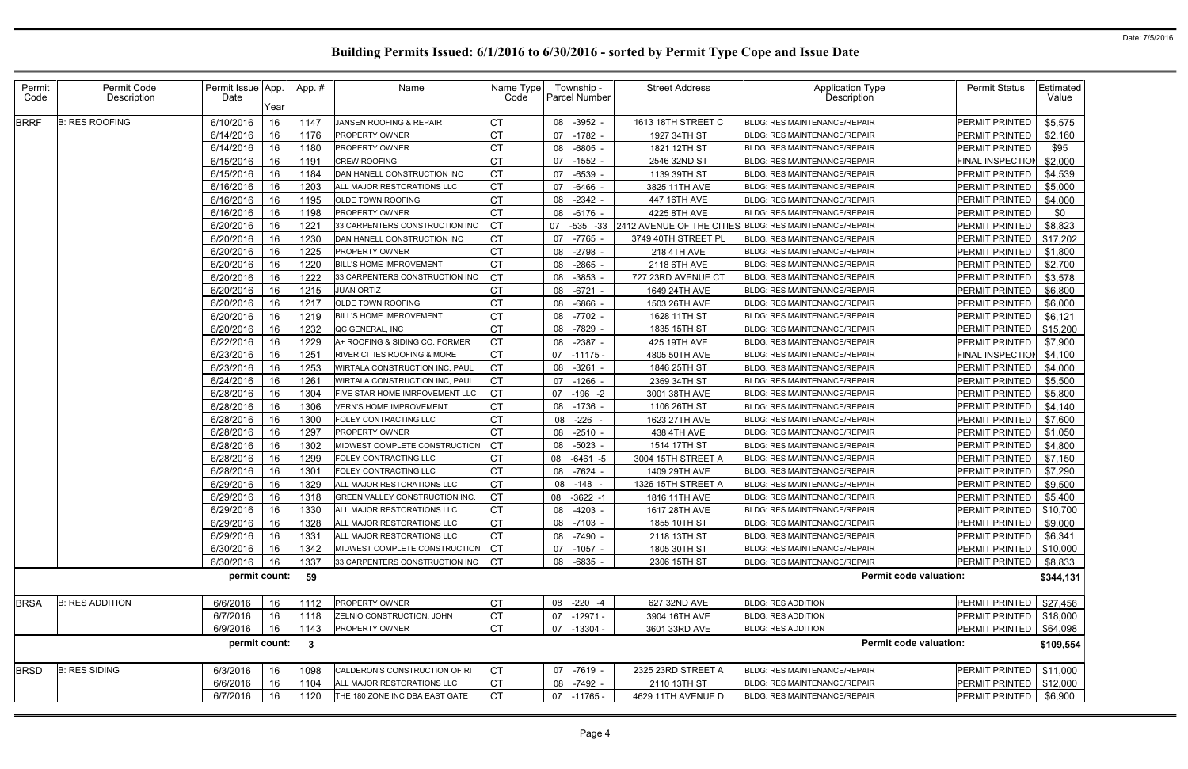| Permit<br>Code | Permit Code<br>Description | Permit Issue App.<br>Date | Year | App.#                   | Name                           | Name Type<br>Code | Township -<br><b>Parcel Number</b> | <b>Street Address</b>                                  | <b>Application Type</b><br>Description | <b>Permit Status</b>    | Estimated<br>Value |
|----------------|----------------------------|---------------------------|------|-------------------------|--------------------------------|-------------------|------------------------------------|--------------------------------------------------------|----------------------------------------|-------------------------|--------------------|
| <b>BRRF</b>    | <b>B: RES ROOFING</b>      | 6/10/2016                 | 16   | 1147                    | JANSEN ROOFING & REPAIR        | <b>CT</b>         | 08 -3952 -                         | 1613 18TH STREET C                                     | <b>BLDG: RES MAINTENANCE/REPAIR</b>    | PERMIT PRINTED          | \$5,575            |
|                |                            | 6/14/2016                 | 16   | 1176                    | PROPERTY OWNER                 | СT                | $-1782$<br>07                      | 1927 34TH ST                                           | <b>BLDG: RES MAINTENANCE/REPAIR</b>    | PERMIT PRINTED          | \$2,160            |
|                |                            | 6/14/2016                 | 16   | 1180                    | <b>PROPERTY OWNER</b>          |                   | $-6805$ -<br>08                    | 1821 12TH ST                                           | <b>BLDG: RES MAINTENANCE/REPAIR</b>    | PERMIT PRINTED          | \$95               |
|                |                            | 6/15/2016                 | 16   | 1191                    | CREW ROOFING                   |                   | 07 -1552 -                         | 2546 32ND ST                                           | <b>BLDG: RES MAINTENANCE/REPAIR</b>    | <b>FINAL INSPECTION</b> | \$2,000            |
|                |                            | 6/15/2016                 | 16   | 1184                    | DAN HANELL CONSTRUCTION INC    | <b>CT</b>         | 07<br>$-6539 -$                    | 1139 39TH ST                                           | <b>BLDG: RES MAINTENANCE/REPAIR</b>    | PERMIT PRINTED          | \$4,539            |
|                |                            | 6/16/2016                 | 16   | 1203                    | ALL MAJOR RESTORATIONS LLC     | <b>CT</b>         | 07<br>-6466                        | 3825 11TH AVE                                          | <b>BLDG: RES MAINTENANCE/REPAIR</b>    | <b>PERMIT PRINTED</b>   | \$5,000            |
|                |                            | 6/16/2016                 | 16   | 1195                    | OLDE TOWN ROOFING              | СT                | $-2342 -$<br>08                    | 447 16TH AVE                                           | <b>BLDG: RES MAINTENANCE/REPAIR</b>    | PERMIT PRINTED          | \$4,000            |
|                |                            | 6/16/2016                 | 16   | 1198                    | <b>PROPERTY OWNER</b>          |                   | -6176 -<br>08                      | 4225 8TH AVE                                           | <b>BLDG: RES MAINTENANCE/REPAIR</b>    | PERMIT PRINTED          | \$0                |
|                |                            | 6/20/2016                 | 16   | 122'                    | 33 CARPENTERS CONSTRUCTION INC |                   | $-535 - 33$<br>07                  | 2412 AVENUE OF THE CITIES BLDG: RES MAINTENANCE/REPAIR |                                        | PERMIT PRINTED          | \$8,823            |
|                |                            | 6/20/2016                 | 16   | 1230                    | DAN HANELL CONSTRUCTION INC    | <b>CT</b>         | 07<br>-7765                        | 3749 40TH STREET PL                                    | <b>BLDG: RES MAINTENANCE/REPAIR</b>    | PERMIT PRINTED          | \$17,202           |
|                |                            | 6/20/2016                 | 16   | 1225                    | PROPERTY OWNER                 | СT                | -2798<br>08                        | <b>218 4TH AVE</b>                                     | <b>BLDG: RES MAINTENANCE/REPAIR</b>    | PERMIT PRINTED          | \$1,800            |
|                |                            | 6/20/2016                 | 16   | 1220                    | <b>BILL'S HOME IMPROVEMENT</b> |                   | $-2865 -$<br>08                    | 2118 6TH AVE                                           | BLDG: RES MAINTENANCE/REPAIR           | PERMIT PRINTED          | \$2,700            |
|                |                            | 6/20/2016                 | 16   | 1222                    | 33 CARPENTERS CONSTRUCTION INC |                   | 08 -3853                           | 727 23RD AVENUE CT                                     | <b>BLDG: RES MAINTENANCE/REPAIR</b>    | PERMIT PRINTED          | \$3,578            |
|                |                            | 6/20/2016                 | 16   | 1215                    | <b>JUAN ORTIZ</b>              | СT                | $-6721$ -<br>08                    | 1649 24TH AVE                                          | <b>BLDG: RES MAINTENANCE/REPAIR</b>    | PERMIT PRINTED          | \$6,800            |
|                |                            | 6/20/2016                 | 16   | 1217                    | OLDE TOWN ROOFING              |                   | 08<br>-6866                        | 1503 26TH AVE                                          | <b>BLDG: RES MAINTENANCE/REPAIR</b>    | PERMIT PRINTED          | \$6,000            |
|                |                            | 6/20/2016                 | 16   | 1219                    | <b>BILL'S HOME IMPROVEMENT</b> | <b>CT</b>         | $-7702$<br>08                      | 1628 11TH ST                                           | <b>BLDG: RES MAINTENANCE/REPAIR</b>    | PERMIT PRINTED          | \$6,121            |
|                |                            | 6/20/2016                 | 16   | 1232                    | QC GENERAL, INC                | C <sub>1</sub>    | 08 -7829 -                         | 1835 15TH ST                                           | <b>BLDG: RES MAINTENANCE/REPAIR</b>    | PERMIT PRINTED          | \$15,200           |
|                |                            | 6/22/2016                 | 16   | 1229                    | A+ ROOFING & SIDING CO. FORMER | <b>CT</b>         | 08 -2387 -                         | 425 19TH AVE                                           | <b>BLDG: RES MAINTENANCE/REPAIR</b>    | PERMIT PRINTED          | \$7,900            |
|                |                            | 6/23/2016                 | 16   | 125'                    | RIVER CITIES ROOFING & MORE    | <b>CT</b>         | 07<br>-11175 -                     | 4805 50TH AVE                                          | <b>BLDG: RES MAINTENANCE/REPAIR</b>    | FINAL INSPECTION        | \$4,100            |
|                |                            | 6/23/2016                 | 16   | 1253                    | WIRTALA CONSTRUCTION INC, PAUL | <b>CT</b>         | -3261<br>08                        | 1846 25TH ST                                           | <b>BLDG: RES MAINTENANCE/REPAIR</b>    | PERMIT PRINTED          | \$4,000            |
|                |                            | 6/24/2016                 | 16   | 1261                    | WIRTALA CONSTRUCTION INC, PAUL |                   | 07 -1266 -                         | 2369 34TH ST                                           | <b>BLDG: RES MAINTENANCE/REPAIR</b>    | PERMIT PRINTED          | \$5,500            |
|                |                            | 6/28/2016                 | 16   | 1304                    | FIVE STAR HOME IMRPOVEMENT LLC |                   | 07 -196 -2                         | 3001 38TH AVE                                          | <b>BLDG: RES MAINTENANCE/REPAIR</b>    | PERMIT PRINTED          | \$5,800            |
|                |                            | 6/28/2016                 | 16   | 1306                    | <b>VERN'S HOME IMPROVEMENT</b> | <b>CT</b>         | $-1736$ .<br>08                    | 1106 26TH ST                                           | <b>BLDG: RES MAINTENANCE/REPAIR</b>    | PERMIT PRINTED          | \$4,140            |
|                |                            | 6/28/2016                 | 16   | 1300                    | FOLEY CONTRACTING LLC          | C <sub>1</sub>    | 08 -226 -                          | 1623 27TH AVE                                          | <b>BLDG: RES MAINTENANCE/REPAIR</b>    | PERMIT PRINTED          | \$7,600            |
|                |                            | 6/28/2016                 | 16   | 1297                    | <b>PROPERTY OWNER</b>          | <b>CT</b>         | $-2510 -$<br>08                    | 438 4TH AVE                                            | <b>BLDG: RES MAINTENANCE/REPAIR</b>    | PERMIT PRINTED          | \$1,050            |
|                |                            | 6/28/2016                 | 16   | 1302                    | MIDWEST COMPLETE CONSTRUCTION  |                   | -5023 -<br>08                      | 1514 17TH ST                                           | <b>BLDG: RES MAINTENANCE/REPAIR</b>    | PERMIT PRINTED          | \$4,800            |
|                |                            | 6/28/2016                 | 16   | 1299                    | FOLEY CONTRACTING LLC          |                   | $-6461 - 5$<br>08                  | 3004 15TH STREET A                                     | <b>BLDG: RES MAINTENANCE/REPAIR</b>    | PERMIT PRINTED          | \$7,150            |
|                |                            | 6/28/2016                 | 16   | 1301                    | FOLEY CONTRACTING LLC          | <b>CT</b>         | -7624 -<br>08                      | 1409 29TH AVE                                          | <b>BLDG: RES MAINTENANCE/REPAIR</b>    | PERMIT PRINTED          | \$7,290            |
|                |                            | 6/29/2016                 | 16   | 1329                    | ALL MAJOR RESTORATIONS LLC     | <b>CT</b>         | 08 -148 -                          | 1326 15TH STREET A                                     | <b>BLDG: RES MAINTENANCE/REPAIR</b>    | PERMIT PRINTED          | \$9,500            |
|                |                            | 6/29/2016                 | 16   | 1318                    | GREEN VALLEY CONSTRUCTION INC. | СT                | 08 -3622 -1                        | 1816 11TH AVE                                          | <b>BLDG: RES MAINTENANCE/REPAIR</b>    | PERMIT PRINTED          | \$5,400            |
|                |                            | 6/29/2016                 | 16   | 1330                    | ALL MAJOR RESTORATIONS LLC     |                   | $08 - 4203 -$                      | 1617 28TH AVE                                          | <b>BLDG: RES MAINTENANCE/REPAIR</b>    | <b>PERMIT PRINTED</b>   | \$10,700           |
|                |                            | 6/29/2016                 | 16   | 1328                    | ALL MAJOR RESTORATIONS LLC     | <b>CT</b>         | 08 -7103 -                         | 1855 10TH ST                                           | <b>BLDG: RES MAINTENANCE/REPAIR</b>    | PERMIT PRINTED          | \$9,000            |
|                |                            | 6/29/2016                 | 16   | 1331                    | ALL MAJOR RESTORATIONS LLC     | <b>CT</b>         | 08 -7490 -                         | 2118 13TH ST                                           | <b>BLDG: RES MAINTENANCE/REPAIR</b>    | PERMIT PRINTED          | \$6,341            |
|                |                            | 6/30/2016                 | 16   | 1342                    | MIDWEST COMPLETE CONSTRUCTION  | <b>CT</b>         | 07 -1057 -                         | 1805 30TH ST                                           | <b>BLDG: RES MAINTENANCE/REPAIR</b>    | PERMIT PRINTED          | \$10,000           |
|                |                            | 6/30/2016                 | 16   | 1337                    | 33 CARPENTERS CONSTRUCTION INC | <b>CT</b>         | 08 -6835 -                         | 2306 15TH ST                                           | <b>BLDG: RES MAINTENANCE/REPAIR</b>    | PERMIT PRINTED          | \$8,833            |
|                |                            | permit count:             |      | 59                      |                                |                   |                                    |                                                        | <b>Permit code valuation:</b>          |                         | \$344,131          |
| <b>BRSA</b>    | <b>B: RES ADDITION</b>     | 6/6/2016                  | 16   | 1112                    | <b>PROPERTY OWNER</b>          | <b>CT</b>         | 08 -220 -4                         | 627 32ND AVE                                           | <b>BLDG: RES ADDITION</b>              | PERMIT PRINTED          | \$27,456           |
|                |                            | 6/7/2016                  | 16   | 1118                    | ZELNIO CONSTRUCTION, JOHN      | <b>CT</b>         | 07 -12971 -                        | 3904 16TH AVE                                          | <b>BLDG: RES ADDITION</b>              | PERMIT PRINTED          | \$18,000           |
|                |                            | 6/9/2016                  | 16   | 1143                    | PROPERTY OWNER                 | <b>CT</b>         | 07 -13304 -                        | 3601 33RD AVE                                          | <b>BLDG: RES ADDITION</b>              | PERMIT PRINTED          | \$64,098           |
|                |                            | permit count:             |      | $\overline{\mathbf{3}}$ |                                |                   |                                    |                                                        | <b>Permit code valuation:</b>          |                         | \$109,554          |
| <b>BRSD</b>    | <b>B: RES SIDING</b>       | 6/3/2016                  | 16   | 1098                    | CALDERON'S CONSTRUCTION OF RI  | Iст               | 07 -7619 -                         | 2325 23RD STREET A                                     | BLDG: RES MAINTENANCE/REPAIR           | <b>PERMIT PRINTED</b>   | \$11,000           |
|                |                            | 6/6/2016                  | 16   | 1104                    | ALL MAJOR RESTORATIONS LLC     | <b>CT</b>         | 08 -7492 -                         | 2110 13TH ST                                           | <b>BLDG: RES MAINTENANCE/REPAIR</b>    | PERMIT PRINTED          | \$12,000           |
|                |                            | 6/7/2016                  | 16   | 1120                    | THE 180 ZONE INC DBA EAST GATE | Iст               | 07 -11765 -                        | 4629 11TH AVENUE D                                     | <b>BLDG: RES MAINTENANCE/REPAIR</b>    | <b>PERMIT PRINTED</b>   | \$6,900            |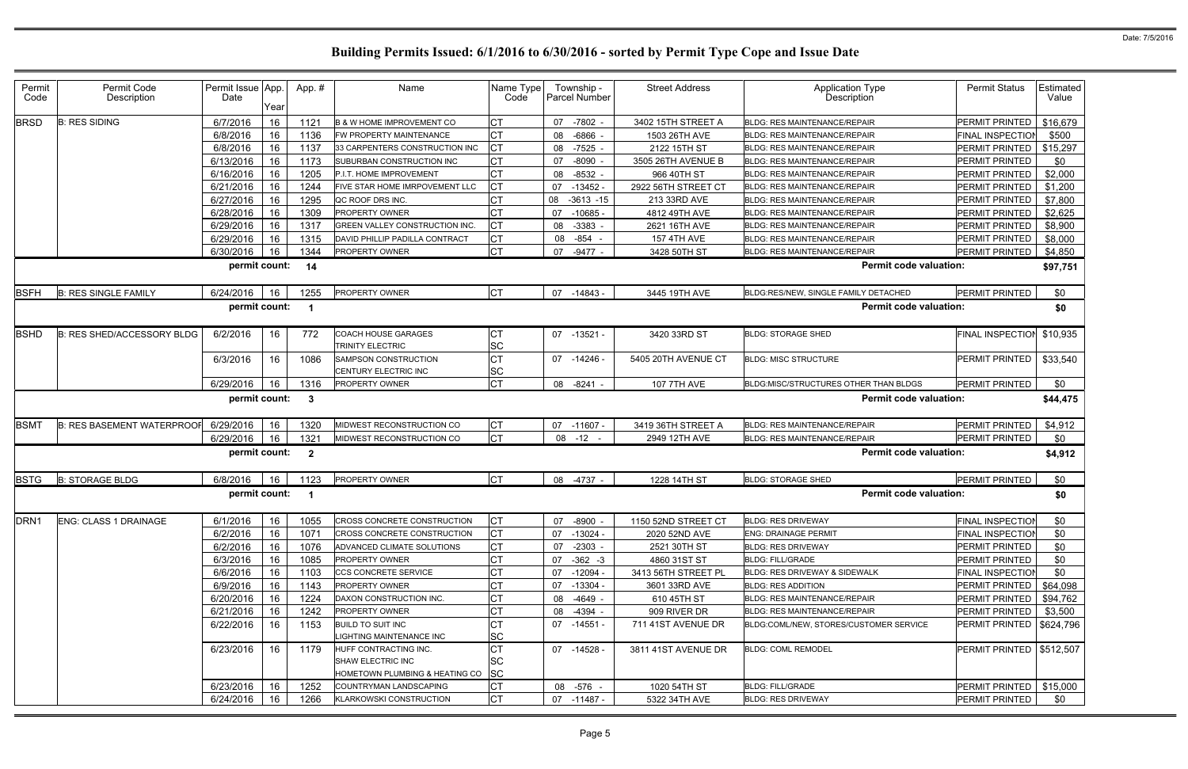| Permit<br>Code                  | Permit Code<br>Description        | Permit Issue<br>Date | App.<br>Year | App.#                   | Name                                                                                | Name Type<br>Code            | Township -<br><b>Parcel Number</b> | <b>Street Address</b> | <b>Application Type</b><br>Description | <b>Permit Status</b>       | Estimated<br>Value |
|---------------------------------|-----------------------------------|----------------------|--------------|-------------------------|-------------------------------------------------------------------------------------|------------------------------|------------------------------------|-----------------------|----------------------------------------|----------------------------|--------------------|
| <b>BRSD</b>                     | <b>B: RES SIDING</b>              | 6/7/2016             | 16           | 1121                    | <b>B &amp; W HOME IMPROVEMENT CO</b>                                                | <b>CT</b>                    | $-7802 -$<br>07                    | 3402 15TH STREET A    | <b>BLDG: RES MAINTENANCE/REPAIR</b>    | PERMIT PRINTED             | \$16,679           |
|                                 |                                   | 6/8/2016             | 16           | 1136                    | FW PROPERTY MAINTENANCE                                                             | <b>CT</b>                    | $-6866$<br>08                      | 1503 26TH AVE         | <b>BLDG: RES MAINTENANCE/REPAIR</b>    | <b>FINAL INSPECTIOI</b>    | \$500              |
|                                 |                                   | 6/8/2016             | 16           | 1137                    | 33 CARPENTERS CONSTRUCTION INC                                                      | <b>CT</b>                    | 08 -7525                           | 2122 15TH ST          | <b>BLDG: RES MAINTENANCE/REPAIR</b>    | PERMIT PRINTED             | \$15,297           |
|                                 |                                   | 6/13/2016            | 16           | 1173                    | SUBURBAN CONSTRUCTION INC                                                           | <b>CT</b>                    | $-8090$<br>07                      | 3505 26TH AVENUE B    | <b>BLDG: RES MAINTENANCE/REPAIR</b>    | PERMIT PRINTED             | \$0                |
|                                 |                                   | 6/16/2016            | 16           | 1205                    | P.I.T. HOME IMPROVEMENT                                                             | <b>CT</b>                    | 08<br>$-8532$ -                    | 966 40TH ST           | <b>BLDG: RES MAINTENANCE/REPAIR</b>    | PERMIT PRINTED             | \$2,000            |
|                                 |                                   | 6/21/2016            | 16           | 1244                    | FIVE STAR HOME IMRPOVEMENT LLC                                                      | lст                          | $-13452 -$<br>07                   | 2922 56TH STREET CT   | <b>BLDG: RES MAINTENANCE/REPAIR</b>    | PERMIT PRINTED             | \$1,200            |
|                                 |                                   | 6/27/2016            | 16           | 1295                    | QC ROOF DRS INC.                                                                    | <b>CT</b>                    | 08<br>$-3613 - 15$                 | 213 33RD AVE          | <b>BLDG: RES MAINTENANCE/REPAIR</b>    | <b>PERMIT PRINTED</b>      | \$7,800            |
|                                 |                                   | 6/28/2016            | 16           | 1309                    | PROPERTY OWNER                                                                      | <b>CT</b>                    | 07<br>$-10685$                     | 4812 49TH AVE         | <b>BLDG: RES MAINTENANCE/REPAIR</b>    | PERMIT PRINTED             | \$2,625            |
|                                 |                                   | 6/29/2016            | 16           | 1317                    | <b>GREEN VALLEY CONSTRUCTION INC</b>                                                | lст                          | -3383<br>08                        | 2621 16TH AVE         | <b>BLDG: RES MAINTENANCE/REPAIR</b>    | PERMIT PRINTED             | \$8,900            |
|                                 |                                   | 6/29/2016            | 16           | 1315                    | DAVID PHILLIP PADILLA CONTRACT                                                      | <b>CT</b>                    | -854<br>08                         | <b>157 4TH AVE</b>    | <b>BLDG: RES MAINTENANCE/REPAIR</b>    | PERMIT PRINTED             | \$8,000            |
|                                 |                                   | 6/30/2016            | 16           | 1344                    | <b>PROPERTY OWNER</b>                                                               | <b>CT</b>                    | 07<br>-9477 -                      | 3428 50TH ST          | <b>BLDG: RES MAINTENANCE/REPAIR</b>    | <b>PERMIT PRINTED</b>      | \$4,850            |
|                                 |                                   | permit count:        |              | 14                      |                                                                                     |                              |                                    |                       | <b>Permit code valuation:</b>          |                            | \$97,751           |
| <b>BSFH</b>                     | <b>B: RES SINGLE FAMILY</b>       | 6/24/2016            | 16           | 1255                    | <b>PROPERTY OWNER</b>                                                               | Iст                          | 07 -14843 -                        | 3445 19TH AVE         | BLDG:RES/NEW, SINGLE FAMILY DETACHED   | PERMIT PRINTED             | \$0                |
|                                 |                                   | permit count:        |              |                         |                                                                                     |                              |                                    |                       | <b>Permit code valuation:</b>          |                            | \$0                |
| <b>BSHD</b>                     | <b>B: RES SHED/ACCESSORY BLDG</b> | 6/2/2016             | 16           | 772                     | COACH HOUSE GARAGES                                                                 | <b>CT</b>                    | 07 -13521                          | 3420 33RD ST          | <b>BLDG: STORAGE SHED</b>              | FINAL INSPECTION           | \$10,935           |
|                                 |                                   |                      |              |                         | <b>TRINITY ELECTRIC</b>                                                             | <b>SC</b>                    |                                    |                       |                                        |                            |                    |
|                                 |                                   | 6/3/2016             | 16           | 1086                    | SAMPSON CONSTRUCTION<br>CENTURY ELECTRIC INC                                        | <b>CT</b><br><b>SC</b>       | 07 -14246 -                        | 5405 20TH AVENUE CT   | <b>BLDG: MISC STRUCTURE</b>            | PERMIT PRINTED             | \$33,540           |
|                                 |                                   | 6/29/2016            | 16           | 1316                    | <b>PROPERTY OWNER</b>                                                               | <b>CT</b>                    | 08 -8241 -                         | <b>107 7TH AVE</b>    | BLDG:MISC/STRUCTURES OTHER THAN BLDGS  | PERMIT PRINTED             | \$0                |
|                                 |                                   |                      |              |                         |                                                                                     |                              |                                    |                       | <b>Permit code valuation:</b>          |                            |                    |
|                                 |                                   | permit count:        |              | - 3                     |                                                                                     |                              |                                    |                       |                                        |                            | \$44,475           |
| <b>BSMT</b>                     | <b>B: RES BASEMENT WATERPROOF</b> | 6/29/2016            | 16           | 1320                    | MIDWEST RECONSTRUCTION CO                                                           | <b>CT</b>                    | $-11607 -$<br>07                   | 3419 36TH STREET A    | <b>BLDG: RES MAINTENANCE/REPAIR</b>    | PERMIT PRINTED             | \$4,912            |
|                                 |                                   | 6/29/2016            | 16           | 1321                    | <b>MIDWEST RECONSTRUCTION CO</b>                                                    | СT                           | 08 -12                             | 2949 12TH AVE         | <b>BLDG: RES MAINTENANCE/REPAIR</b>    | <b>PERMIT PRINTED</b>      | \$0                |
|                                 |                                   | permit count:        |              | $\overline{\mathbf{2}}$ |                                                                                     |                              |                                    |                       | <b>Permit code valuation:</b>          |                            | \$4,912            |
|                                 | <b>B: STORAGE BLDG</b>            | 6/8/2016             | 16           | 1123                    | <b>PROPERTY OWNER</b>                                                               | <b>CT</b>                    | 08 -4737 -                         | 1228 14TH ST          | <b>BLDG: STORAGE SHED</b>              | <b>PERMIT PRINTED</b>      | \$0                |
|                                 |                                   | permit count:        |              | - 1                     |                                                                                     |                              |                                    |                       | <b>Permit code valuation:</b>          |                            | \$0                |
|                                 | <b>ENG: CLASS 1 DRAINAGE</b>      | 6/1/2016             | 16           | 1055                    | <b>CROSS CONCRETE CONSTRUCTION</b>                                                  | <b>CT</b>                    | 07 -8900 -                         | 1150 52ND STREET CT   | <b>BLDG: RES DRIVEWAY</b>              | <b>FINAL INSPECTIOI</b>    | \$0                |
|                                 |                                   | 6/2/2016             | 16           | 1071                    | CROSS CONCRETE CONSTRUCTION                                                         | IСТ                          | 07 -13024 -                        | 2020 52ND AVE         | <b>ENG: DRAINAGE PERMIT</b>            | <b>FINAL INSPECTION</b>    | \$0                |
|                                 |                                   | 6/2/2016             | 16           | 1076                    | ADVANCED CLIMATE SOLUTIONS                                                          | <b>CT</b>                    | 07 -2303 -                         | 2521 30TH ST          | <b>BLDG: RES DRIVEWAY</b>              | PERMIT PRINTED             | \$0                |
|                                 |                                   | 6/3/2016             | 16           | 1085                    | <b>PROPERTY OWNER</b>                                                               | <b>CT</b>                    | $-362 -3$<br>07                    | 4860 31ST ST          | <b>BLDG: FILL/GRADE</b>                | PERMIT PRINTED             | \$0                |
|                                 |                                   | 6/6/2016             | 16           | 1103                    | CCS CONCRETE SERVICE                                                                | <b>CT</b>                    | 07 -12094 -                        | 3413 56TH STREET PL   | BLDG: RES DRIVEWAY & SIDEWALK          | <b>FINAL INSPECTION</b>    | \$0                |
|                                 |                                   | 6/9/2016             | 16           | 1143                    | PROPERTY OWNER                                                                      | <b>CT</b>                    | 07 -13304 -                        | 3601 33RD AVE         | <b>BLDG: RES ADDITION</b>              | PERMIT PRINTED             | \$64,098           |
|                                 |                                   | 6/20/2016            | 16           | 1224                    | DAXON CONSTRUCTION INC.                                                             | <b>CT</b>                    | 08 -4649 -                         | 610 45TH ST           | <b>BLDG: RES MAINTENANCE/REPAIR</b>    | PERMIT PRINTED             | \$94,762           |
|                                 |                                   | 6/21/2016            | 16           | 1242                    | <b>PROPERTY OWNER</b>                                                               | <b>CT</b>                    | 08 -4394 -                         | 909 RIVER DR          | <b>BLDG: RES MAINTENANCE/REPAIR</b>    | PERMIT PRINTED             | \$3,500            |
| <b>BSTG</b><br>DRN <sub>1</sub> |                                   | 6/22/2016            | 16           | 1153                    | <b>BUILD TO SUIT INC</b><br><b>IGHTING MAINTENANCE INC</b>                          | Iст<br><b>SC</b>             | 07 -14551 -                        | 711 41ST AVENUE DR    | BLDG:COML/NEW, STORES/CUSTOMER SERVICE | PERMIT PRINTED   \$624,796 |                    |
|                                 |                                   | 6/23/2016            | 16           | 1179                    | HUFF CONTRACTING INC.<br><b>SHAW ELECTRIC INC</b><br>HOMETOWN PLUMBING & HEATING CO | <b>CT</b><br>SC<br><b>SC</b> | 07 -14528 -                        | 3811 41ST AVENUE DR   | <b>BLDG: COML REMODEL</b>              | <b>PERMIT PRINTED</b>      | \$512,507          |
|                                 |                                   | 6/23/2016            | 16           | 1252                    | COUNTRYMAN LANDSCAPING                                                              | <b>CT</b>                    | 08 -576 -                          | 1020 54TH ST          | <b>BLDG: FILL/GRADE</b>                | PERMIT PRINTED   \$15,000  |                    |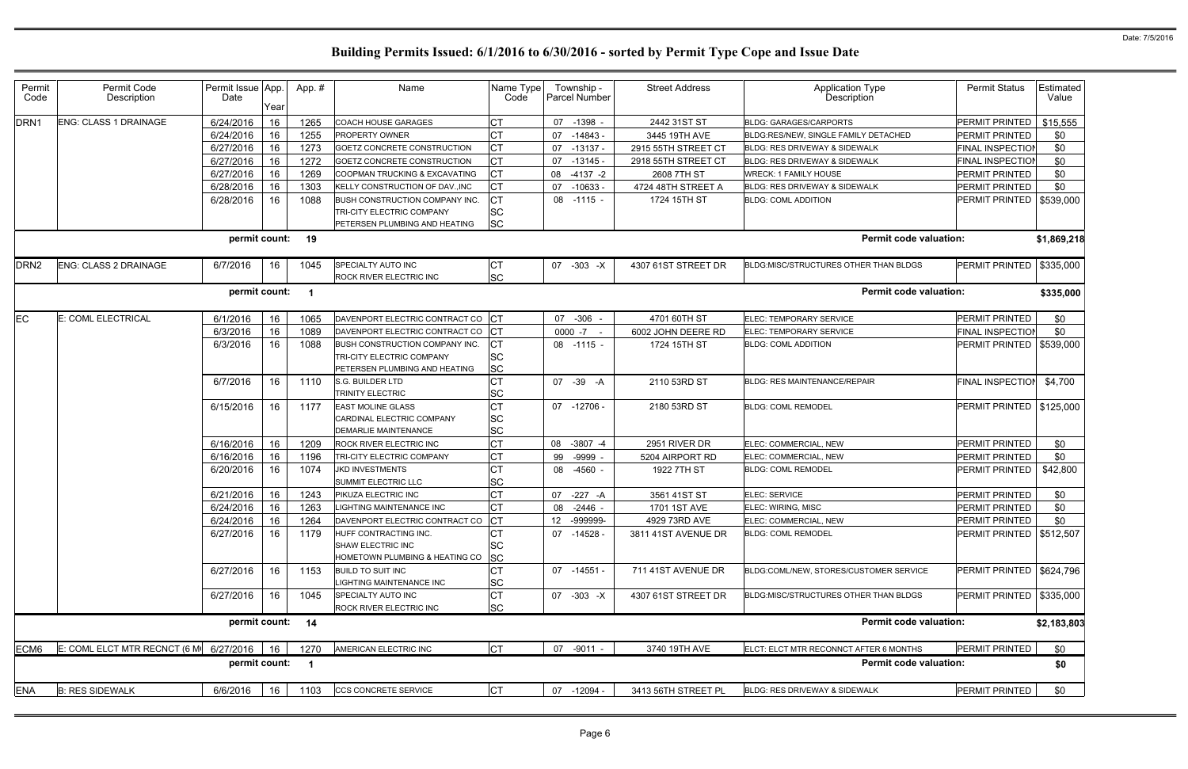| Permit<br>Code   | Permit Code<br>Description   | Permit Issue App.<br>Date | Year | App.#                   | Name                                                   | Name Type<br>Code      | Township -<br><b>Parcel Number</b> | <b>Street Address</b> | <b>Application Type</b><br>Description   | <b>Permit Status</b>       | Estimated<br>Value |
|------------------|------------------------------|---------------------------|------|-------------------------|--------------------------------------------------------|------------------------|------------------------------------|-----------------------|------------------------------------------|----------------------------|--------------------|
| DRN <sub>1</sub> | ENG: CLASS 1 DRAINAGE        | 6/24/2016                 | 16   | 1265                    | <b>COACH HOUSE GARAGES</b>                             | <b>CT</b>              | 07 -1398 -                         | 2442 31ST ST          | <b>BLDG: GARAGES/CARPORTS</b>            | PERMIT PRINTED             | \$15,555           |
|                  |                              | 6/24/2016                 | 16   | 1255                    | PROPERTY OWNER                                         | <b>CT</b>              | 07<br>-14843 -                     | 3445 19TH AVE         | BLDG:RES/NEW, SINGLE FAMILY DETACHED     | PERMIT PRINTED             | \$0                |
|                  |                              | 6/27/2016                 | 16   | 1273                    | <b>GOETZ CONCRETE CONSTRUCTION</b>                     | <b>CT</b>              | 07<br>$-13137 -$                   | 2915 55TH STREET CT   | BLDG: RES DRIVEWAY & SIDEWALK            | <b>FINAL INSPECTIOI</b>    | \$0                |
|                  |                              | 6/27/2016                 | 16   | 1272                    | GOETZ CONCRETE CONSTRUCTION                            | <b>CT</b>              | 07<br>$-13145 -$                   | 2918 55TH STREET CT   | <b>BLDG: RES DRIVEWAY &amp; SIDEWALK</b> | <b>FINAL INSPECTIOI</b>    | \$0                |
|                  |                              | 6/27/2016                 | 16   | 1269                    | COOPMAN TRUCKING & EXCAVATING                          | Iст                    | 80<br>$-4137 -2$                   | 2608 7TH ST           | <b>WRECK: 1 FAMILY HOUSE</b>             | PERMIT PRINTED             | \$0                |
|                  |                              | 6/28/2016                 | 16   | 1303                    | KELLY CONSTRUCTION OF DAV., INC                        | Iст                    | 07<br>$-10633 -$                   | 4724 48TH STREET A    | BLDG: RES DRIVEWAY & SIDEWALK            | PERMIT PRINTED             | \$0                |
|                  |                              | 6/28/2016                 | 16   | 1088                    | BUSH CONSTRUCTION COMPANY INC.                         | <b>CT</b>              | 08 -1115 -                         | 1724 15TH ST          | <b>BLDG: COML ADDITION</b>               | PERMIT PRINTED             | \$539,000          |
|                  |                              |                           |      |                         | TRI-CITY ELECTRIC COMPANY                              | <b>SC</b>              |                                    |                       |                                          |                            |                    |
|                  |                              |                           |      |                         | PETERSEN PLUMBING AND HEATING                          | <b>SC</b>              |                                    |                       |                                          |                            |                    |
|                  |                              | permit count: 19          |      |                         |                                                        |                        |                                    |                       | <b>Permit code valuation:</b>            |                            | \$1,869,218        |
| DRN <sub>2</sub> | ENG: CLASS 2 DRAINAGE        | 6/7/2016                  | 16   | 1045                    | SPECIALTY AUTO INC<br>ROCK RIVER ELECTRIC INC          | <b>CT</b><br><b>SC</b> | 07 -303 -X                         | 4307 61ST STREET DR   | BLDG:MISC/STRUCTURES OTHER THAN BLDGS    | PERMIT PRINTED             | \$335,000          |
|                  |                              | permit count:             |      | $\overline{\mathbf{1}}$ |                                                        |                        |                                    |                       | <b>Permit code valuation:</b>            |                            | \$335,000          |
| <b>EC</b>        | E: COML ELECTRICAL           | 6/1/2016                  | 16   | 1065                    | DAVENPORT ELECTRIC CONTRACT CO                         | $ _{\rm CT}$           | 07 -306                            | 4701 60TH ST          | ELEC: TEMPORARY SERVICE                  | PERMIT PRINTED             | \$0                |
|                  |                              | 6/3/2016                  | 16   | 1089                    | DAVENPORT ELECTRIC CONTRACT CO                         | $ _{\rm CT}$           | $0000 - 7 -$                       | 6002 JOHN DEERE RD    | ELEC: TEMPORARY SERVICE                  | FINAL INSPECTION           | \$0                |
|                  |                              | 6/3/2016                  | 16   | 1088                    | <b>BUSH CONSTRUCTION COMPANY INC.</b>                  | <b>CT</b>              | $08 - 1115 -$                      | 1724 15TH ST          | <b>BLDG: COML ADDITION</b>               | PERMIT PRINTED             | \$539,000          |
|                  |                              |                           |      |                         | TRI-CITY ELECTRIC COMPANY                              | <b>SC</b>              |                                    |                       |                                          |                            |                    |
|                  |                              |                           |      |                         | PETERSEN PLUMBING AND HEATING                          | <b>SC</b>              |                                    |                       |                                          |                            |                    |
|                  |                              | 6/7/2016                  | 16   | 1110                    | S.G. BUILDER LTD                                       | <b>CT</b>              | 07 -39 -A                          | 2110 53RD ST          | <b>BLDG: RES MAINTENANCE/REPAIR</b>      | <b>FINAL INSPECTIOI</b>    | \$4,700            |
|                  |                              |                           |      |                         | <b>TRINITY ELECTRIC</b>                                | <b>SC</b>              |                                    |                       |                                          |                            |                    |
|                  |                              | 6/15/2016                 | 16   | 1177                    | <b>EAST MOLINE GLASS</b>                               | <b>CT</b>              | 07 -12706 -                        | 2180 53RD ST          | <b>BLDG: COML REMODEL</b>                | PERMIT PRINTED   \$125,000 |                    |
|                  |                              |                           |      |                         | CARDINAL ELECTRIC COMPANY                              | <b>SC</b>              |                                    |                       |                                          |                            |                    |
|                  |                              | 6/16/2016                 | 16   | 1209                    | <b>DEMARLIE MAINTENANCE</b><br>ROCK RIVER ELECTRIC INC | <b>SC</b><br><b>CT</b> | 08<br>$-3807 -4$                   | 2951 RIVER DR         | ELEC: COMMERCIAL, NEW                    | <b>PERMIT PRINTED</b>      | \$0                |
|                  |                              | 6/16/2016                 | 16   | 1196                    | TRI-CITY ELECTRIC COMPANY                              | <b>CT</b>              | 99 -9999                           | 5204 AIRPORT RD       | ELEC: COMMERCIAL, NEW                    | PERMIT PRINTED             | \$0                |
|                  |                              | 6/20/2016                 | 16   | 1074                    | <b>JKD INVESTMENTS</b>                                 | <b>CT</b>              | 08 -4560 -                         | 1922 7TH ST           | <b>BLDG: COML REMODEL</b>                | PERMIT PRINTED             | \$42,800           |
|                  |                              |                           |      |                         | SUMMIT ELECTRIC LLC                                    | <b>SC</b>              |                                    |                       |                                          |                            |                    |
|                  |                              | 6/21/2016                 | 16   | 1243                    | PIKUZA ELECTRIC INC                                    | <b>CT</b>              | 07<br>$-227 - A$                   | 3561 41ST ST          | ELEC: SERVICE                            | PERMIT PRINTED             | \$0                |
|                  |                              | 6/24/2016                 | 16   | 1263                    | LIGHTING MAINTENANCE INC                               | Iст                    | 08<br>$-2446 -$                    | 1701 1ST AVE          | ELEC: WIRING, MISC                       | PERMIT PRINTED             | \$0                |
|                  |                              | 6/24/2016                 | 16   | 1264                    | DAVENPORT ELECTRIC CONTRACT CO                         | <b>ICT</b>             | 12 -999999-                        | 4929 73RD AVE         | ELEC: COMMERCIAL, NEW                    | PERMIT PRINTED             | \$0                |
|                  |                              | 6/27/2016                 | 16   | 1179                    | HUFF CONTRACTING INC.                                  | СT                     | 07 -14528 -                        | 3811 41ST AVENUE DR   | <b>BLDG: COML REMODEL</b>                | PERMIT PRINTED             | \$512,507          |
|                  |                              |                           |      |                         | <b>SHAW ELECTRIC INC</b>                               | <b>SC</b>              |                                    |                       |                                          |                            |                    |
|                  |                              |                           |      |                         | HOMETOWN PLUMBING & HEATING CO                         | <b>SC</b>              |                                    |                       |                                          |                            |                    |
|                  |                              | 6/27/2016                 | 16   | 1153                    | <b>BUILD TO SUIT INC</b>                               | <b>CT</b>              | 07 -14551 -                        | 711 41ST AVENUE DR    | BLDG:COML/NEW, STORES/CUSTOMER SERVICE   | PERMIT PRINTED   \$624,796 |                    |
|                  |                              |                           |      |                         | LIGHTING MAINTENANCE INC                               | <b>SC</b>              |                                    |                       |                                          |                            |                    |
|                  |                              | 6/27/2016                 | 16   | 1045                    | SPECIALTY AUTO INC                                     | <b>CT</b><br><b>SC</b> | 07 -303 -X                         | 4307 61ST STREET DR   | BLDG:MISC/STRUCTURES OTHER THAN BLDGS    | PERMIT PRINTED   \$335,000 |                    |
|                  |                              | permit count: 14          |      |                         | ROCK RIVER ELECTRIC INC                                |                        |                                    |                       | <b>Permit code valuation:</b>            |                            | \$2,183,803        |
| ECM6             | E: COML ELCT MTR RECNCT (6 M | 6/27/2016                 | 16   | 1270                    | AMERICAN ELECTRIC INC                                  | <b>CT</b>              | 07 -9011 -                         | 3740 19TH AVE         | ELCT: ELCT MTR RECONNCT AFTER 6 MONTHS   | PERMIT PRINTED             | \$0                |
|                  |                              | permit count:             |      | $\overline{\mathbf{1}}$ |                                                        |                        |                                    |                       | <b>Permit code valuation:</b>            |                            | \$0                |
|                  |                              |                           |      |                         |                                                        |                        |                                    |                       |                                          |                            |                    |
| <b>ENA</b>       | <b>B: RES SIDEWALK</b>       | 6/6/2016                  | 16   | 1103                    | <b>CCS CONCRETE SERVICE</b>                            | <b>CT</b>              | 07 -12094 -                        | 3413 56TH STREET PL   | BLDG: RES DRIVEWAY & SIDEWALK            | PERMIT PRINTED             | \$0                |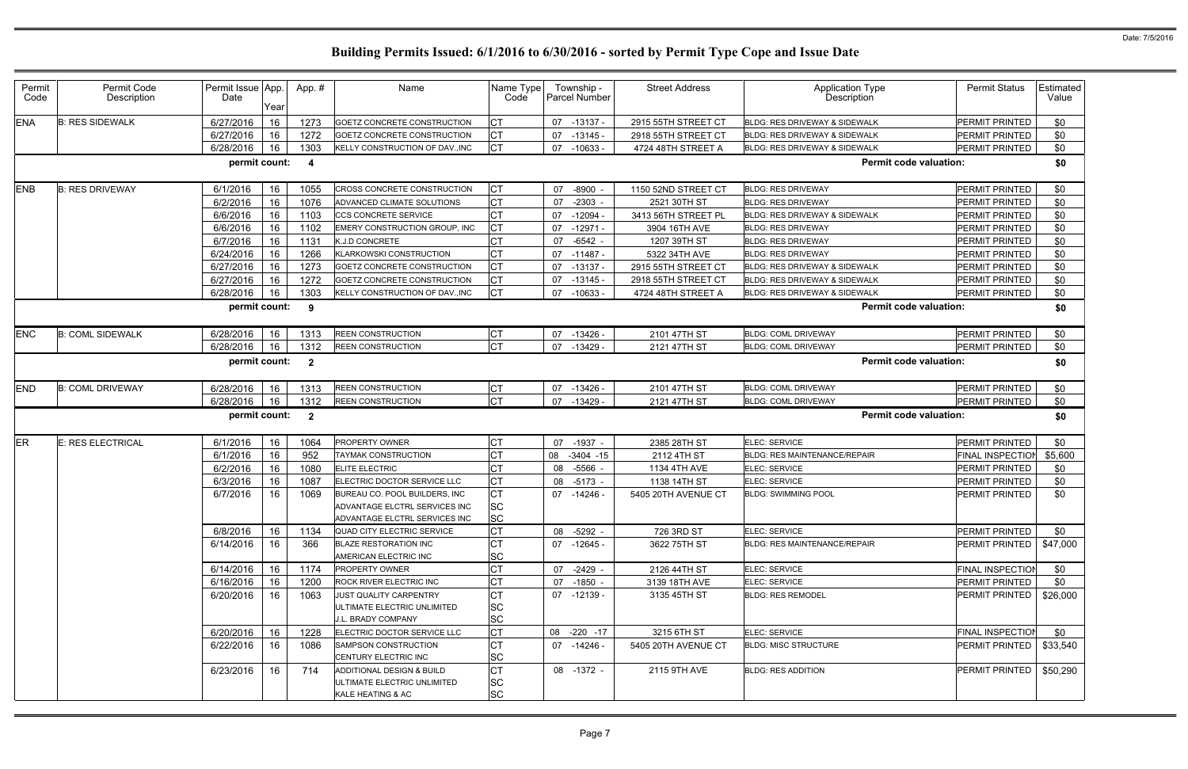| Permit<br>Code | Permit Code<br>Description | Permit Issue App.<br>Date | Year | App.#                   | Name                                                                                            | Name Type<br>Code             | Township -<br>Parcel Number | <b>Street Address</b> | <b>Application Type</b><br>Description   | <b>Permit Status</b>    | Estimated<br>Value |
|----------------|----------------------------|---------------------------|------|-------------------------|-------------------------------------------------------------------------------------------------|-------------------------------|-----------------------------|-----------------------|------------------------------------------|-------------------------|--------------------|
| <b>ENA</b>     | <b>B: RES SIDEWALK</b>     | 6/27/2016                 | 16   | 1273                    | GOETZ CONCRETE CONSTRUCTION                                                                     | Iст                           | 07<br>$-13137 -$            | 2915 55TH STREET CT   | BLDG: RES DRIVEWAY & SIDEWALK            | PERMIT PRINTED          | \$0                |
|                |                            | 6/27/2016                 | 16   | 1272                    | GOETZ CONCRETE CONSTRUCTION                                                                     | Iст                           | $-13145$<br>07              | 2918 55TH STREET CT   | <b>BLDG: RES DRIVEWAY &amp; SIDEWALK</b> | PERMIT PRINTED          | \$0                |
|                |                            | 6/28/2016                 | 16   | 1303                    | KELLY CONSTRUCTION OF DAV., INC                                                                 | <b>CT</b>                     | 07<br>$-10633 -$            | 4724 48TH STREET A    | <b>BLDG: RES DRIVEWAY &amp; SIDEWALK</b> | PERMIT PRINTED          | \$0                |
|                |                            | permit count:             |      | -4                      |                                                                                                 |                               |                             |                       | <b>Permit code valuation:</b>            |                         | \$0                |
| <b>ENB</b>     | <b>B: RES DRIVEWAY</b>     | 6/1/2016                  | 16   | 1055                    | CROSS CONCRETE CONSTRUCTION                                                                     | <b>ICT</b>                    | 07<br>$-8900$               | 1150 52ND STREET CT   | <b>BLDG: RES DRIVEWAY</b>                | <b>PERMIT PRINTED</b>   | \$0                |
|                |                            | 6/2/2016                  | 16   | 1076                    | ADVANCED CLIMATE SOLUTIONS                                                                      | <b>CT</b>                     | $-2303$<br>07               | 2521 30TH ST          | <b>BLDG: RES DRIVEWAY</b>                | PERMIT PRINTED          | \$0                |
|                |                            | 6/6/2016                  | 16   | 1103                    | CCS CONCRETE SERVICE                                                                            | <b>CT</b>                     | 07<br>$-12094$              | 3413 56TH STREET PL   | BLDG: RES DRIVEWAY & SIDEWALK            | PERMIT PRINTED          | \$0                |
|                |                            | 6/6/2016                  | 16   | 1102                    | EMERY CONSTRUCTION GROUP, INC                                                                   | Iст                           | $-12971$<br>07              | 3904 16TH AVE         | <b>BLDG: RES DRIVEWAY</b>                | PERMIT PRINTED          | \$0                |
|                |                            | 6/7/2016                  | 16   | 1131                    | K.J.D CONCRETE                                                                                  | СT                            | 07<br>$-6542$ -             | 1207 39TH ST          | <b>BLDG: RES DRIVEWAY</b>                | PERMIT PRINTED          | \$0                |
|                |                            | 6/24/2016                 | 16   | 1266                    | <b>KLARKOWSKI CONSTRUCTION</b>                                                                  | <b>CT</b>                     | 07<br>$-11487$              | 5322 34TH AVE         | <b>BLDG: RES DRIVEWAY</b>                | PERMIT PRINTED          | \$0                |
|                |                            | 6/27/2016                 | 16   | 1273                    | GOETZ CONCRETE CONSTRUCTION                                                                     | Iст                           | 07<br>$-13137$              | 2915 55TH STREET CT   | BLDG: RES DRIVEWAY & SIDEWALK            | PERMIT PRINTED          | \$0                |
|                |                            | 6/27/2016                 | 16   | 1272                    | GOETZ CONCRETE CONSTRUCTION                                                                     | Iст                           | $-13145$<br>07              | 2918 55TH STREET CT   | BLDG: RES DRIVEWAY & SIDEWALK            | PERMIT PRINTED          | \$0                |
|                |                            | 6/28/2016                 | 16   | 1303                    | KELLY CONSTRUCTION OF DAV., INC                                                                 | Iст                           | 07<br>-10633 -              | 4724 48TH STREET A    | BLDG: RES DRIVEWAY & SIDEWALK            | PERMIT PRINTED          | \$0                |
|                |                            | permit count:             |      | 9                       |                                                                                                 |                               |                             |                       | <b>Permit code valuation:</b>            |                         | \$0                |
| <b>ENC</b>     | <b>B: COML SIDEWALK</b>    | 6/28/2016                 | 16   | 1313                    | <b>REEN CONSTRUCTION</b>                                                                        | Iст                           | 07<br>$-13426$              | 2101 47TH ST          | <b>BLDG: COML DRIVEWAY</b>               | PERMIT PRINTED          | \$0                |
|                |                            | 6/28/2016                 | 16   | 1312                    | <b>REEN CONSTRUCTION</b>                                                                        | Iст                           | $-13429$<br>07              | 2121 47TH ST          | <b>BLDG: COML DRIVEWAY</b>               | PERMIT PRINTED          | \$0                |
|                |                            | permit count:             |      | $\overline{\mathbf{2}}$ |                                                                                                 |                               |                             |                       | <b>Permit code valuation:</b>            |                         | \$0                |
| <b>END</b>     | <b>B: COML DRIVEWAY</b>    | 6/28/2016                 | 16   | 1313                    | <b>REEN CONSTRUCTION</b>                                                                        | Iст                           | 07<br>$-13426$              | 2101 47TH ST          | <b>BLDG: COML DRIVEWAY</b>               | PERMIT PRINTED          | \$0                |
|                |                            | 6/28/2016                 | 16   | 1312                    | <b>REEN CONSTRUCTION</b>                                                                        | lст                           | 07<br>$-13429$              | 2121 47TH ST          | <b>BLDG: COML DRIVEWAY</b>               | PERMIT PRINTED          | \$0                |
|                |                            | permit count:             |      | $\overline{2}$          |                                                                                                 |                               |                             |                       | <b>Permit code valuation:</b>            |                         | \$0                |
| <b>ER</b>      | E: RES ELECTRICAL          | 6/1/2016                  | 16   | 1064                    | <b>PROPERTY OWNER</b>                                                                           | Iст                           | 07<br>$-1937 -$             | 2385 28TH ST          | ELEC: SERVICE                            | PERMIT PRINTED          | \$0                |
|                |                            | 6/1/2016                  | 16   | 952                     | TAYMAK CONSTRUCTION                                                                             |                               | 08<br>$-3404 - 15$          | 2112 4TH ST           | BLDG: RES MAINTENANCE/REPAIR             | <b>FINAL INSPECTIOI</b> | \$5,600            |
|                |                            | 6/2/2016                  | 16   | 1080                    | <b>ELITE ELECTRIC</b>                                                                           | СT                            | $-5566$ -<br>08             | 1134 4TH AVE          | ELEC: SERVICE                            | PERMIT PRINTED          | \$0                |
|                |                            | 6/3/2016                  | 16   | 1087                    | ELECTRIC DOCTOR SERVICE LLC                                                                     | <b>CT</b>                     | 08<br>$-5173$ -             | 1138 14TH ST          | ELEC: SERVICE                            | PERMIT PRINTED          | \$0                |
|                |                            | 6/7/2016                  | 16   | 1069                    | BUREAU CO. POOL BUILDERS, INC<br>ADVANTAGE ELCTRL SERVICES INC<br>ADVANTAGE ELCTRL SERVICES INC | Iст<br><b>SC</b><br><b>SC</b> | 07<br>-14246 -              | 5405 20TH AVENUE CT   | <b>BLDG: SWIMMING POOL</b>               | PERMIT PRINTED          | \$0                |
|                |                            | 6/8/2016                  | 16   | 1134                    | QUAD CITY ELECTRIC SERVICE                                                                      | Iст                           | $-5292 -$<br>08             | 726 3RD ST            | ELEC: SERVICE                            | PERMIT PRINTED          | \$0                |
|                |                            | 6/14/2016                 | 16   | 366                     | <b>BLAZE RESTORATION INC</b><br>AMERICAN ELECTRIC INC                                           | Iст<br><b>SC</b>              | 07 -12645 -                 | 3622 75TH ST          | <b>BLDG: RES MAINTENANCE/REPAIR</b>      | PERMIT PRINTED          | \$47,000           |
|                |                            | 6/14/2016                 | 16   | 1174                    | PROPERTY OWNER                                                                                  | Iст                           | 07<br>-2429 -               | 2126 44TH ST          | ELEC: SERVICE                            | <b>FINAL INSPECTIOI</b> | \$0                |
|                |                            | 6/16/2016                 | 16   | 1200                    | <b>ROCK RIVER ELECTRIC INC</b>                                                                  | <b>CT</b>                     | 07<br>$-1850 -$             | 3139 18TH AVE         | <b>ELEC: SERVICE</b>                     | PERMIT PRINTED          | \$0                |
|                |                            | 6/20/2016                 | 16   | 1063                    | <b>JUST QUALITY CARPENTRY</b>                                                                   | Iст                           | 07 -12139 -                 | 3135 45TH ST          | <b>BLDG: RES REMODEL</b>                 | PERMIT PRINTED          | \$26,000           |
|                |                            |                           |      |                         | ULTIMATE ELECTRIC UNLIMITED<br>J.L. BRADY COMPANY                                               | <b>SC</b><br><b>SC</b>        |                             |                       |                                          |                         |                    |
|                |                            | 6/20/2016                 | 16   | 1228                    | ELECTRIC DOCTOR SERVICE LLC                                                                     | <b>CT</b>                     | 08 -220 -17                 | 3215 6TH ST           | ELEC: SERVICE                            | <b>FINAL INSPECTIOI</b> | \$0                |
|                |                            | 6/22/2016                 | 16   | 1086                    | <b>SAMPSON CONSTRUCTION</b><br>CENTURY ELECTRIC INC                                             | Iст<br><b>SC</b>              | 07 -14246 -                 | 5405 20TH AVENUE CT   | <b>BLDG: MISC STRUCTURE</b>              | PERMIT PRINTED          | \$33,540           |
|                |                            | 6/23/2016                 | 16   | 714                     | ADDITIONAL DESIGN & BUILD<br>ULTIMATE ELECTRIC UNLIMITED<br>KALE HEATING & AC                   | Iст<br><b>SC</b><br><b>SC</b> | 08 -1372 -                  | 2115 9TH AVE          | <b>BLDG: RES ADDITION</b>                | PERMIT PRINTED          | \$50,290           |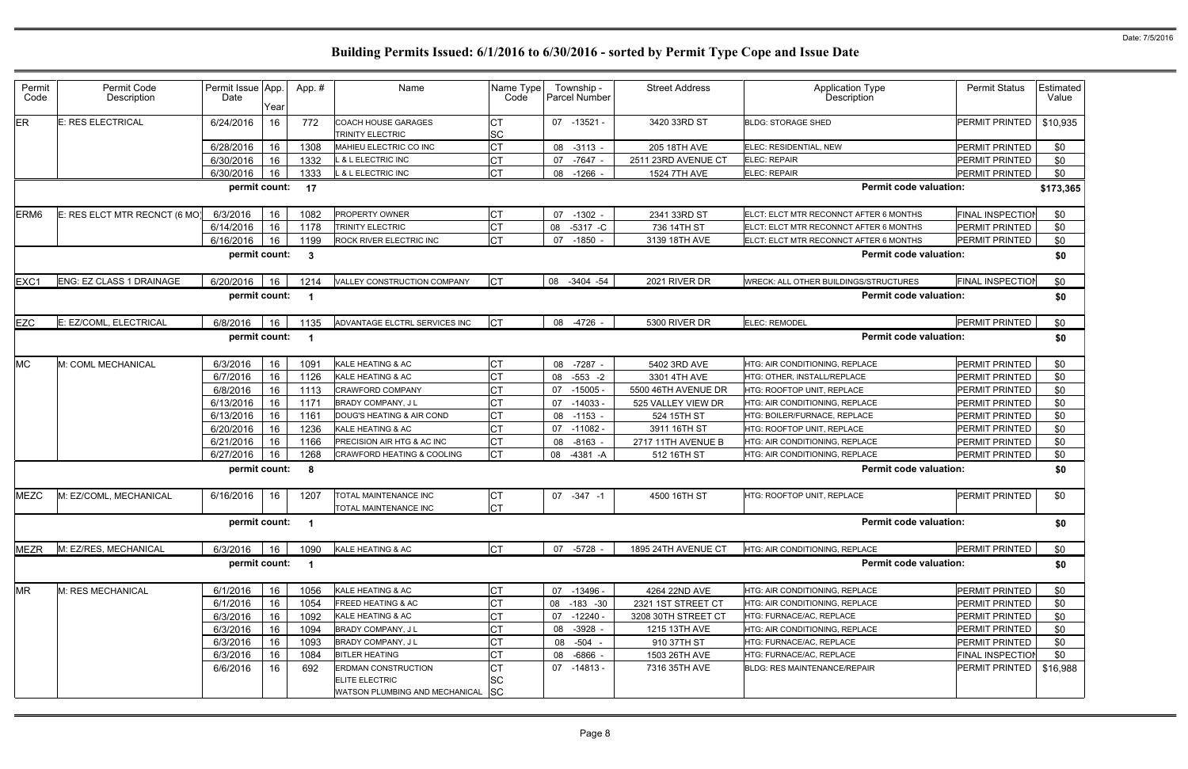| Permit<br>Code | Permit Code<br>Description    | Permit Issue App.<br>Date | Year | App. #                  | Name                                                | Name Type<br>Code      | Township -<br><b>Parcel Number</b> | <b>Street Address</b> | <b>Application Type</b><br>Description | <b>Permit Status</b>    | Estimated<br>Value |
|----------------|-------------------------------|---------------------------|------|-------------------------|-----------------------------------------------------|------------------------|------------------------------------|-----------------------|----------------------------------------|-------------------------|--------------------|
| ER             | E: RES ELECTRICAL             | 6/24/2016                 | 16   | 772                     | COACH HOUSE GARAGES<br>TRINITY ELECTRIC             | <b>CT</b><br><b>SC</b> | 07 -13521 -                        | 3420 33RD ST          | <b>BLDG: STORAGE SHED</b>              | PERMIT PRINTED          | \$10,935           |
|                |                               | 6/28/2016                 | 16   | 1308                    | MAHIEU ELECTRIC CO INC                              | <b>CT</b>              | 08 -3113 -                         | 205 18TH AVE          | ELEC: RESIDENTIAL, NEW                 | PERMIT PRINTED          | \$0                |
|                |                               | 6/30/2016                 | 16   | 1332                    | <b>&amp; L ELECTRIC INC</b>                         | <b>CT</b>              | 07 -7647 -                         | 2511 23RD AVENUE CT   | <b>ELEC: REPAIR</b>                    | PERMIT PRINTED          | \$0                |
|                |                               | 6/30/2016                 | 16   | 1333                    | <b>&amp; L ELECTRIC INC</b>                         | <b>CT</b>              | 08<br>$-1266$ .                    | 1524 7TH AVE          | <b>ELEC: REPAIR</b>                    | PERMIT PRINTED          | \$0                |
|                |                               | permit count:             |      | 17                      |                                                     |                        |                                    |                       | <b>Permit code valuation:</b>          |                         | \$173,365          |
| ERM6           | E: RES ELCT MTR RECNCT (6 MO) | 6/3/2016                  | 16   | 1082                    | <b>PROPERTY OWNER</b>                               | <b>CT</b>              | 07<br>$-1302$                      | 2341 33RD ST          | ELCT: ELCT MTR RECONNCT AFTER 6 MONTHS | <b>FINAL INSPECTIOI</b> | \$0                |
|                |                               | 6/14/2016                 | 16   | 1178                    | TRINITY ELECTRIC                                    | <b>CT</b>              | 08<br>$-5317 - C$                  | 736 14TH ST           | ELCT: ELCT MTR RECONNCT AFTER 6 MONTHS | PERMIT PRINTED          | \$0                |
|                |                               | 6/16/2016                 | 16   | 1199                    | <b>ROCK RIVER ELECTRIC INC</b>                      | <b>CT</b>              | 07 -1850 -                         | 3139 18TH AVE         | ELCT: ELCT MTR RECONNCT AFTER 6 MONTHS | <b>PERMIT PRINTED</b>   | \$0                |
|                |                               | permit count:             |      | $\mathbf{3}$            |                                                     |                        |                                    |                       | <b>Permit code valuation:</b>          |                         | \$0                |
| EXC1           | ENG: EZ CLASS 1 DRAINAGE      | 6/20/2016                 | 16   | 1214                    | VALLEY CONSTRUCTION COMPANY                         | <b>CT</b>              | 08 -3404 -54                       | 2021 RIVER DR         | WRECK: ALL OTHER BUILDINGS/STRUCTURES  | <b>FINAL INSPECTIOI</b> | \$0                |
|                |                               | permit count:             |      | $\overline{\mathbf{1}}$ |                                                     |                        |                                    |                       | <b>Permit code valuation:</b>          |                         | \$0                |
| EZC            | E: EZ/COML, ELECTRICAL        | 6/8/2016                  | 16   | 1135                    | ADVANTAGE ELCTRL SERVICES INC                       | <b>CT</b>              | 08 -4726 -                         | 5300 RIVER DR         | <b>ELEC: REMODEL</b>                   | PERMIT PRINTED          | \$0                |
|                |                               | permit count:             |      | $\overline{\mathbf{1}}$ |                                                     |                        |                                    |                       | <b>Permit code valuation:</b>          |                         | \$0                |
| <b>MC</b>      | M: COML MECHANICAL            | 6/3/2016                  | 16   | 1091                    | KALE HEATING & AC                                   | <b>CT</b>              | 08 -7287 -                         | 5402 3RD AVE          | HTG: AIR CONDITIONING, REPLACE         | PERMIT PRINTED          | \$0                |
|                |                               | 6/7/2016                  | 16   | 1126                    | KALE HEATING & AC                                   | <b>CT</b>              | $-553 - 2$<br>08                   | 3301 4TH AVE          | HTG: OTHER, INSTALL/REPLACE            | PERMIT PRINTED          | \$0                |
|                |                               | 6/8/2016                  | 16   | 1113                    | CRAWFORD COMPANY                                    | <b>CT</b>              | $-15005$<br>07                     | 5500 46TH AVENUE DR   | HTG: ROOFTOP UNIT, REPLACE             | PERMIT PRINTED          | \$0                |
|                |                               | 6/13/2016                 | 16   | 117                     | <b>BRADY COMPANY, JL</b>                            |                        | $-14033 -$<br>07                   | 525 VALLEY VIEW DR    | HTG: AIR CONDITIONING, REPLACE         | PERMIT PRINTED          | \$0                |
|                |                               | 6/13/2016                 | 16   | 1161                    | DOUG'S HEATING & AIR COND                           | <b>CT</b>              | 08 -1153 -                         | 524 15TH ST           | HTG: BOILER/FURNACE. REPLACE           | <b>PERMIT PRINTED</b>   | \$0                |
|                |                               | 6/20/2016                 | 16   | 1236                    | KALE HEATING & AC                                   | <b>CT</b>              | 07<br>$-11082 -$                   | 3911 16TH ST          | HTG: ROOFTOP UNIT, REPLACE             | PERMIT PRINTED          | \$0                |
|                |                               | 6/21/2016                 | 16   | 1166                    | PRECISION AIR HTG & AC INC                          | <b>CT</b>              | 08<br>$-8163$                      | 2717 11TH AVENUE B    | HTG: AIR CONDITIONING, REPLACE         | PERMIT PRINTED          | \$0                |
|                |                               | 6/27/2016                 | 16   | 1268                    | CRAWFORD HEATING & COOLING                          | <b>CT</b>              | $-4381 - A$<br>08                  | 512 16TH ST           | HTG: AIR CONDITIONING, REPLACE         | PERMIT PRINTED          | \$0                |
|                |                               | permit count:             |      | - 8                     |                                                     |                        |                                    |                       | <b>Permit code valuation:</b>          |                         | \$0                |
| <b>MEZC</b>    | M: EZ/COML, MECHANICAL        | 6/16/2016                 | 16   | 1207                    | <b>TOTAL MAINTENANCE INC</b>                        | СT                     | $07 - 347 - 1$                     | 4500 16TH ST          | HTG: ROOFTOP UNIT, REPLACE             | PERMIT PRINTED          | \$0                |
|                |                               |                           |      |                         | <b>TOTAL MAINTENANCE INC</b>                        | <b>CT</b>              |                                    |                       |                                        |                         |                    |
|                |                               | permit count: 1           |      |                         |                                                     |                        |                                    |                       | <b>Permit code valuation:</b>          |                         | \$0                |
| <b>MEZR</b>    | M: EZ/RES, MECHANICAL         | 6/3/2016                  | 16   | 1090                    | KALE HEATING & AC                                   | <b>CT</b>              | 07 -5728 -                         | 1895 24TH AVENUE CT   | HTG: AIR CONDITIONING, REPLACE         | <b>PERMIT PRINTED</b>   | \$0                |
|                |                               | permit count:             |      | $\overline{\mathbf{1}}$ |                                                     |                        |                                    |                       | <b>Permit code valuation:</b>          |                         | \$0                |
| <b>MR</b>      | M: RES MECHANICAL             | 6/1/2016                  | 16   | 1056                    | KALE HEATING & AC                                   | <b>CT</b>              | 07 -13496 -                        | 4264 22ND AVE         | <b>HTG: AIR CONDITIONING. REPLACE</b>  | PERMIT PRINTED          | \$0                |
|                |                               | 6/1/2016                  | 16   | 1054                    | <b>FREED HEATING &amp; AC</b>                       | <b>CT</b>              | $-183 - 30$<br>08                  | 2321 1ST STREET CT    | HTG: AIR CONDITIONING, REPLACE         | PERMIT PRINTED          | \$0                |
|                |                               | 6/3/2016                  | 16   | 1092                    | KALE HEATING & AC                                   | СT                     | -12240 -<br>07                     | 3208 30TH STREET CT   | HTG: FURNACE/AC, REPLACE               | PERMIT PRINTED          | \$0                |
|                |                               | 6/3/2016                  | 16   | 1094                    | <b>BRADY COMPANY, JL</b>                            |                        | $-3928 -$<br>08                    | 1215 13TH AVE         | HTG: AIR CONDITIONING, REPLACE         | PERMIT PRINTED          | \$0                |
|                |                               | 6/3/2016                  | 16   | 1093                    | BRADY COMPANY, J L                                  | <b>CT</b>              | 08 -504 -                          | 910 37TH ST           | HTG: FURNACE/AC, REPLACE               | PERMIT PRINTED          | \$0                |
|                |                               | 6/3/2016                  | 16   | 1084                    | <b>BITLER HEATING</b>                               | <b>CT</b>              | 08 -6866 -                         | 1503 26TH AVE         | HTG: FURNACE/AC, REPLACE               | <b>FINAL INSPECTIOI</b> | \$0                |
|                |                               | 6/6/2016                  | 16   | 692                     | <b>ERDMAN CONSTRUCTION</b><br><b>ELITE ELECTRIC</b> | <b>CT</b><br><b>SC</b> | $07 - 14813 -$                     | 7316 35TH AVE         | <b>BLDG: RES MAINTENANCE/REPAIR</b>    | PERMIT PRINTED          | \$16,988           |
|                |                               |                           |      |                         | WATSON PLUMBING AND MECHANICAL SC                   |                        |                                    |                       |                                        |                         |                    |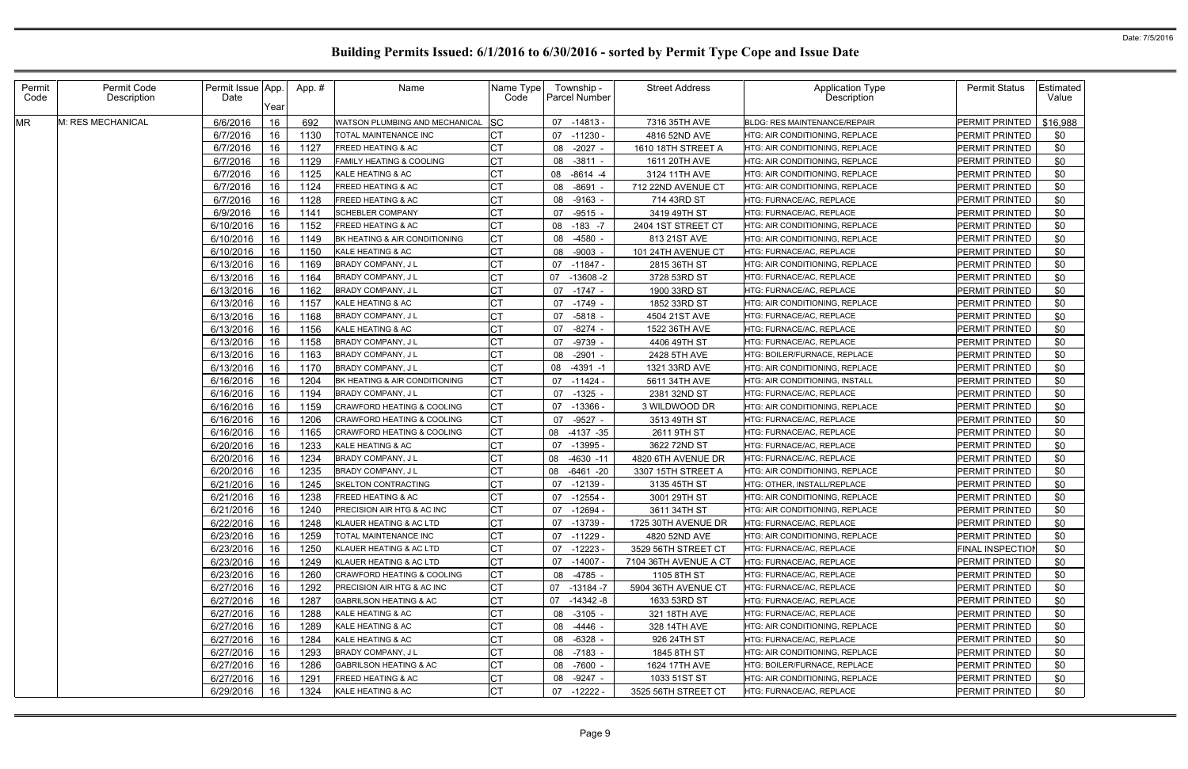| Permit<br>Code | Permit Code<br>Description | Permit Issue App.<br>Date | Year | App.# | Name                                  | Name Type<br>Code | Township -<br><b>Parcel Number</b> | <b>Street Address</b> | <b>Application Type</b><br>Description | <b>Permit Status</b>    | Estimated<br>Value |
|----------------|----------------------------|---------------------------|------|-------|---------------------------------------|-------------------|------------------------------------|-----------------------|----------------------------------------|-------------------------|--------------------|
| <b>MR</b>      | M: RES MECHANICAL          | 6/6/2016                  | 16   | 692   | WATSON PLUMBING AND MECHANICAL        | <b>SC</b>         | -14813 -<br>07                     | 7316 35TH AVE         | <b>BLDG: RES MAINTENANCE/REPAIR</b>    | PERMIT PRINTED          | \$16,988           |
|                |                            | 6/7/2016                  | 16   | 1130  | TOTAL MAINTENANCE INC                 | <b>CT</b>         | 07<br>-11230 -                     | 4816 52ND AVE         | HTG: AIR CONDITIONING. REPLACE         | PERMIT PRINTED          | \$0                |
|                |                            | 6/7/2016                  | 16   | 1127  | FREED HEATING & AC                    | <b>CT</b>         | $-2027$ -<br>08                    | 1610 18TH STREET A    | HTG: AIR CONDITIONING, REPLACE         | PERMIT PRINTED          | \$0                |
|                |                            | 6/7/2016                  | 16   | 1129  | FAMILY HEATING & COOLING              | <b>CT</b>         | 08<br>$-3811$ -                    | 1611 20TH AVE         | HTG: AIR CONDITIONING, REPLACE         | PERMIT PRINTED          | \$0                |
|                |                            | 6/7/2016                  | 16   | 1125  | KALE HEATING & AC                     | СT                | 08<br>$-8614 - 4$                  | 3124 11TH AVE         | HTG: AIR CONDITIONING, REPLACE         | PERMIT PRINTED          | \$0                |
|                |                            | 6/7/2016                  | 16   | 1124  | <b>FREED HEATING &amp; AC</b>         | СT                | -8691<br>08                        | 712 22ND AVENUE CT    | HTG: AIR CONDITIONING, REPLACE         | PERMIT PRINTED          | \$0                |
|                |                            | 6/7/2016                  | 16   | 1128  | FREED HEATING & AC                    | СT                | 08 -9163 -                         | 714 43RD ST           | HTG: FURNACE/AC, REPLACE               | PERMIT PRINTED          | \$0                |
|                |                            | 6/9/2016                  | 16   | 1141  | <b>SCHEBLER COMPANY</b>               | СT                | $-9515 -$<br>07                    | 3419 49TH ST          | HTG: FURNACE/AC, REPLACE               | PERMIT PRINTED          | \$0                |
|                |                            | 6/10/2016                 | 16   | 1152  | FREED HEATING & AC                    | СT                | 08<br>$-183 - 7$                   | 2404 1ST STREET CT    | HTG: AIR CONDITIONING, REPLACE         | PERMIT PRINTED          | \$0                |
|                |                            | 6/10/2016                 | 16   | 1149  | BK HEATING & AIR CONDITIONING         | <b>CT</b>         | $-4580$<br>08                      | 813 21ST AVE          | HTG: AIR CONDITIONING, REPLACE         | PERMIT PRINTED          | \$0                |
|                |                            | 6/10/2016                 | 16   | 1150  | KALE HEATING & AC                     | <b>CT</b>         | 08<br>-9003 -                      | 101 24TH AVENUE CT    | HTG: FURNACE/AC, REPLACE               | PERMIT PRINTED          | \$0                |
|                |                            | 6/13/2016                 | 16   | 1169  | <b>BRADY COMPANY, JL</b>              | СT                | 07<br>-11847 -                     | 2815 36TH ST          | HTG: AIR CONDITIONING, REPLACE         | PERMIT PRINTED          | \$0                |
|                |                            | 6/13/2016                 | 16   | 1164  | BRADY COMPANY, JL                     | СT                | 07<br>$-13608 - 2$                 | 3728 53RD ST          | HTG: FURNACE/AC, REPLACE               | PERMIT PRINTED          | \$0                |
|                |                            | 6/13/2016                 | 16   | 1162  | BRADY COMPANY, JL                     |                   | 07 -1747 -                         | 1900 33RD ST          | HTG: FURNACE/AC, REPLACE               | PERMIT PRINTED          | \$0                |
|                |                            | 6/13/2016                 | 16   | 1157  | KALE HEATING & AC                     |                   | 07 -1749 -                         | 1852 33RD ST          | HTG: AIR CONDITIONING, REPLACE         | PERMIT PRINTED          | \$0                |
|                |                            | 6/13/2016                 | 16   | 1168  | BRADY COMPANY, J L                    |                   | 07<br>-5818 -                      | 4504 21ST AVE         | HTG: FURNACE/AC, REPLACE               | PERMIT PRINTED          | \$0                |
|                |                            | 6/13/2016                 | 16   | 1156  | KALE HEATING & AC                     | СT                | $-8274$ -<br>07                    | 1522 36TH AVE         | HTG: FURNACE/AC, REPLACE               | PERMIT PRINTED          | \$0                |
|                |                            | 6/13/2016                 | 16   | 1158  | <b>BRADY COMPANY, JL</b>              | СT                | 07<br>-9739 -                      | 4406 49TH ST          | HTG: FURNACE/AC, REPLACE               | PERMIT PRINTED          | \$0                |
|                |                            | 6/13/2016                 | 16   | 1163  | BRADY COMPANY, J L                    | СT                | $-2901$<br>08                      | 2428 5TH AVE          | HTG: BOILER/FURNACE, REPLACE           | PERMIT PRINTED          | \$0                |
|                |                            | 6/13/2016                 | 16   | 1170  | <b>BRADY COMPANY, JL</b>              | C <sub>1</sub>    | 08<br>$-4391 - 1$                  | 1321 33RD AVE         | HTG: AIR CONDITIONING, REPLACE         | PERMIT PRINTED          | \$0                |
|                |                            | 6/16/2016                 | 16   | 1204  | BK HEATING & AIR CONDITIONING         | <b>CT</b>         | 07<br>-11424 -                     | 5611 34TH AVE         | HTG: AIR CONDITIONING, INSTALL         | PERMIT PRINTED          | \$0                |
|                |                            | 6/16/2016                 | 16   | 1194  | <b>BRADY COMPANY, JL</b>              | <b>CT</b>         | 07<br>$-1325$ .                    | 2381 32ND ST          | HTG: FURNACE/AC, REPLACE               | PERMIT PRINTED          | \$0                |
|                |                            | 6/16/2016                 | 16   | 1159  | <b>CRAWFORD HEATING &amp; COOLING</b> | <b>CT</b>         | 07<br>-13366 -                     | 3 WILDWOOD DR         | HTG: AIR CONDITIONING, REPLACE         | PERMIT PRINTED          | \$0                |
|                |                            | 6/16/2016                 | 16   | 1206  | CRAWFORD HEATING & COOLING            | <b>CT</b>         | $-9527 -$<br>07                    | 3513 49TH ST          | HTG: FURNACE/AC, REPLACE               | PERMIT PRINTED          | \$0                |
|                |                            | 6/16/2016                 | 16   | 1165  | CRAWFORD HEATING & COOLING            | <b>CT</b>         | 08<br>-4137 -35                    | 2611 9TH ST           | HTG: FURNACE/AC, REPLACE               | PERMIT PRINTED          | \$0                |
|                |                            | 6/20/2016                 | 16   | 1233  | KALE HEATING & AC                     | <b>CT</b>         | 07<br>-13995 -                     | 3622 72ND ST          | HTG: FURNACE/AC, REPLACE               | PERMIT PRINTED          | \$0                |
|                |                            | 6/20/2016                 | 16   | 1234  | BRADY COMPANY, J L                    |                   | 08<br>$-4630 - 11$                 | 4820 6TH AVENUE DR    | HTG: FURNACE/AC, REPLACE               | PERMIT PRINTED          | \$0                |
|                |                            | 6/20/2016                 | 16   | 1235  | BRADY COMPANY, J L                    | <b>CT</b>         | 08<br>$-6461 - 20$                 | 3307 15TH STREET A    | HTG: AIR CONDITIONING, REPLACE         | PERMIT PRINTED          | \$0                |
|                |                            | 6/21/2016                 | 16   | 1245  | SKELTON CONTRACTING                   | <b>CT</b>         | 07<br>-12139 -                     | 3135 45TH ST          | HTG: OTHER, INSTALL/REPLACE            | PERMIT PRINTED          | \$0                |
|                |                            | 6/21/2016                 | 16   | 1238  | <b>FREED HEATING &amp; AC</b>         |                   | $-12554$<br>07                     | 3001 29TH ST          | HTG: AIR CONDITIONING, REPLACE         | PERMIT PRINTED          | \$0                |
|                |                            | 6/21/2016 16              |      | 1240  | PRECISION AIR HTG & AC INC            | $\cap$ T<br>◡     | 07 -12694 -                        | 3611 34TH ST          | HTG: AIR CONDITIONING, REPLACE         | PERMIT PRINTED          | \$0                |
|                |                            | 6/22/2016                 | 16   | 1248  | KLAUER HEATING & AC LTD               | СT                | 07 -13739 -                        | 1725 30TH AVENUE DR   | HTG: FURNACE/AC, REPLACE               | PERMIT PRINTED          | \$0                |
|                |                            | 6/23/2016                 | 16   | 1259  | TOTAL MAINTENANCE INC                 | СT                | 07 -11229 -                        | 4820 52ND AVE         | HTG: AIR CONDITIONING, REPLACE         | PERMIT PRINTED          | \$0                |
|                |                            | 6/23/2016                 | 16   | 1250  | KLAUER HEATING & AC LTD               | <b>CT</b>         | 07 -12223 -                        | 3529 56TH STREET CT   | HTG: FURNACE/AC, REPLACE               | <b>FINAL INSPECTION</b> | \$0                |
|                |                            | 6/23/2016                 | 16   | 1249  | KLAUER HEATING & AC LTD               | <b>CT</b>         | 07 -14007 -                        | 7104 36TH AVENUE A CT | HTG: FURNACE/AC, REPLACE               | <b>PERMIT PRINTED</b>   | \$0                |
|                |                            | 6/23/2016                 | 16   | 1260  | <b>CRAWFORD HEATING &amp; COOLING</b> | <b>CT</b>         | 08 -4785 -                         | 1105 8TH ST           | HTG: FURNACE/AC, REPLACE               | PERMIT PRINTED          | \$0                |
|                |                            | 6/27/2016                 | 16   | 1292  | PRECISION AIR HTG & AC INC            | <b>CT</b>         | 07<br>-13184 -7                    | 5904 36TH AVENUE CT   | HTG: FURNACE/AC, REPLACE               | PERMIT PRINTED          | \$0                |
|                |                            | 6/27/2016                 | 16   | 1287  | GABRILSON HEATING & AC                | <b>CT</b>         | 07<br>-14342 -8                    | 1633 53RD ST          | HTG: FURNACE/AC, REPLACE               | PERMIT PRINTED          | \$0                |
|                |                            | 6/27/2016                 | 16   | 1288  | KALE HEATING & AC                     |                   | 08 -3105 -                         | 321 18TH AVE          | HTG: FURNACE/AC, REPLACE               | PERMIT PRINTED          | \$0                |
|                |                            | 6/27/2016                 | 16   | 1289  | KALE HEATING & AC                     | СT                | 08 -4446 -                         | 328 14TH AVE          | HTG: AIR CONDITIONING, REPLACE         | PERMIT PRINTED          | \$0                |
|                |                            | 6/27/2016                 | 16   | 1284  | KALE HEATING & AC                     | <b>CT</b>         | 08 -6328 -                         | 926 24TH ST           | HTG: FURNACE/AC, REPLACE               | PERMIT PRINTED          | \$0                |
|                |                            | 6/27/2016                 | 16   | 1293  | BRADY COMPANY, J L                    | СT                | 08 -7183 -                         | 1845 8TH ST           | HTG: AIR CONDITIONING, REPLACE         | PERMIT PRINTED          | \$0                |
|                |                            | 6/27/2016                 | 16   | 1286  | <b>GABRILSON HEATING &amp; AC</b>     | <b>CT</b>         | 08 -7600 -                         | 1624 17TH AVE         | HTG: BOILER/FURNACE, REPLACE           | PERMIT PRINTED          | \$0                |
|                |                            | 6/27/2016                 | 16   | 1291  | FREED HEATING & AC                    | <b>CT</b>         | 08 -9247 -                         | 1033 51ST ST          | HTG: AIR CONDITIONING, REPLACE         | PERMIT PRINTED          | \$0                |
|                |                            | 6/29/2016                 | 16   | 1324  | KALE HEATING & AC                     | <b>CT</b>         | 07 -12222 -                        | 3525 56TH STREET CT   | HTG: FURNACE/AC, REPLACE               | PERMIT PRINTED          | \$0                |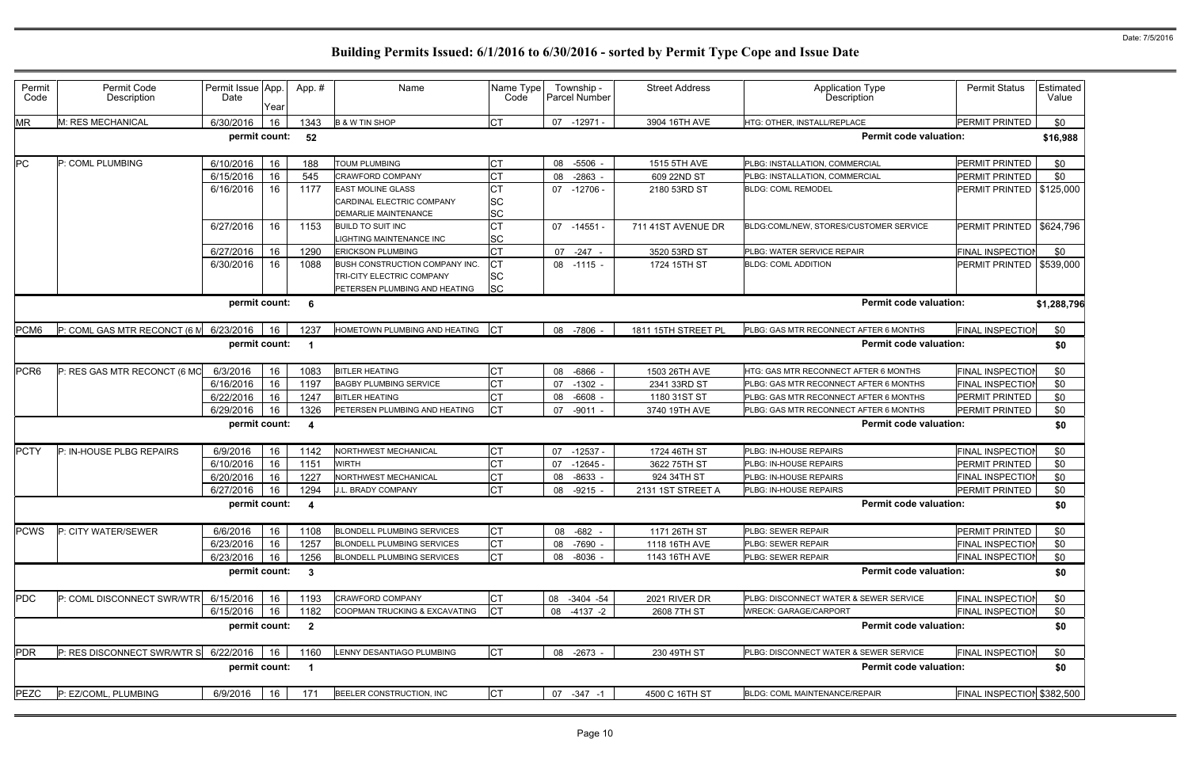| Permit<br>Code | Permit Code<br>Description   | Permit Issue App.<br>Date | Year | App. #                  | Name                                                                                         | Name Type<br>Code            | Township -<br><b>Parcel Number</b> | <b>Street Address</b> | <b>Application Type</b><br>Description                                  | <b>Permit Status</b>       | Estimated<br>Value |  |
|----------------|------------------------------|---------------------------|------|-------------------------|----------------------------------------------------------------------------------------------|------------------------------|------------------------------------|-----------------------|-------------------------------------------------------------------------|----------------------------|--------------------|--|
| MR             | M: RES MECHANICAL            | 6/30/2016                 | 16   | 1343                    | <b>B &amp; W TIN SHOP</b>                                                                    | <b>CT</b>                    | $-12971$<br>07                     | 3904 16TH AVE         | HTG: OTHER, INSTALL/REPLACE                                             | PERMIT PRINTED             | \$0                |  |
|                |                              | permit count:             |      | 52                      |                                                                                              |                              |                                    |                       | <b>Permit code valuation:</b>                                           |                            | \$16,988           |  |
| PC             | P: COML PLUMBING             | 6/10/2016                 | 16   | 188                     | TOUM PLUMBING                                                                                | <b>CT</b>                    | 08<br>$-5506$                      | 1515 5TH AVE          | PLBG: INSTALLATION, COMMERCIAL                                          | PERMIT PRINTED             | \$0                |  |
|                |                              | 6/15/2016                 | 16   | 545                     | CRAWFORD COMPANY                                                                             |                              | $-2863$<br>08                      | 609 22ND ST           | PLBG: INSTALLATION, COMMERCIAL                                          | <b>PERMIT PRINTED</b>      | \$0                |  |
|                |                              | 6/16/2016                 | 16   | 1177                    | <b>EAST MOLINE GLASS</b><br>CARDINAL ELECTRIC COMPANY<br>DEMARLIE MAINTENANCE                | <b>CT</b><br>SC<br><b>SC</b> | 07 -12706 -                        | 2180 53RD ST          | <b>BLDG: COML REMODEL</b>                                               | PERMIT PRINTED             | \$125,000          |  |
|                |                              | 6/27/2016                 | 16   | 1153                    | <b>BUILD TO SUIT INC</b><br>IGHTING MAINTENANCE INC                                          | СT<br><b>SC</b>              | $07 - 14551$                       | 711 41ST AVENUE DR    | BLDG:COML/NEW, STORES/CUSTOMER SERVICE                                  | PERMIT PRINTED   \$624,796 |                    |  |
|                |                              | 6/27/2016                 | 16   | 1290                    | <b>ERICKSON PLUMBING</b>                                                                     | <b>CT</b>                    | $-247 -$<br>07                     | 3520 53RD ST          | PLBG: WATER SERVICE REPAIR                                              | <b>FINAL INSPECTION</b>    | \$0                |  |
|                |                              | 6/30/2016                 | 16   | 1088                    | BUSH CONSTRUCTION COMPANY INC.<br>TRI-CITY ELECTRIC COMPANY<br>PETERSEN PLUMBING AND HEATING | СT<br><b>SC</b><br><b>SC</b> | 08 -1115 -                         | 1724 15TH ST          | <b>BLDG: COML ADDITION</b>                                              | PERMIT PRINTED             | \$539,000          |  |
|                |                              | permit count:             |      | -6                      |                                                                                              |                              |                                    |                       | <b>Permit code valuation:</b>                                           |                            | \$1,288,796        |  |
| PCM6           | P: COML GAS MTR RECONCT (6 M | 6/23/2016                 | 16   | 1237                    | HOMETOWN PLUMBING AND HEATING                                                                | <b>ICT</b>                   | 08 -7806 -                         | 1811 15TH STREET PL   | <b>FINAL INSPECTIO</b><br>\$0<br>PLBG: GAS MTR RECONNECT AFTER 6 MONTHS |                            |                    |  |
|                |                              | permit count:             |      | - 1                     |                                                                                              |                              |                                    |                       | <b>Permit code valuation:</b>                                           |                            | \$0                |  |
| PCR6           | P: RES GAS MTR RECONCT (6 MO | 6/3/2016                  | 16   | 1083                    | <b>BITLER HEATING</b>                                                                        | <b>CT</b>                    | 08<br>-6866                        | 1503 26TH AVE         | HTG: GAS MTR RECONNECT AFTER 6 MONTHS                                   | <b>FINAL INSPECTIOI</b>    | \$0                |  |
|                |                              | 6/16/2016                 | 16   | 1197                    | <b>BAGBY PLUMBING SERVICE</b>                                                                | <b>CT</b>                    | $-1302$<br>07                      | 2341 33RD ST          | PLBG: GAS MTR RECONNECT AFTER 6 MONTHS                                  | FINAL INSPECTIOI           | \$0                |  |
|                |                              | 6/22/2016                 | 16   | 1247                    | <b>BITLER HEATING</b>                                                                        | CT                           | $-6608$<br>08                      | 1180 31ST ST          | PLBG: GAS MTR RECONNECT AFTER 6 MONTHS                                  | PERMIT PRINTED             | \$0                |  |
|                |                              | 6/29/2016                 | 16   | 1326                    | PETERSEN PLUMBING AND HEATING                                                                | lст                          | $-9011 -$<br>07                    | 3740 19TH AVE         | PLBG: GAS MTR RECONNECT AFTER 6 MONTHS                                  | PERMIT PRINTED             | \$0                |  |
|                |                              | permit count:             |      | $\overline{4}$          |                                                                                              |                              |                                    |                       | <b>Permit code valuation:</b>                                           |                            | \$0                |  |
| <b>PCTY</b>    | P: IN-HOUSE PLBG REPAIRS     | 6/9/2016                  | 16   | 1142                    | NORTHWEST MECHANICAL                                                                         | <b>CT</b>                    | 07<br>$-12537$                     | 1724 46TH ST          | PLBG: IN-HOUSE REPAIRS                                                  | FINAL INSPECTIO            | \$0                |  |
|                |                              | 6/10/2016                 | 16   | 1151                    | <b>NIRTH</b>                                                                                 | <b>CT</b>                    | 07<br>$-12645$                     | 3622 75TH ST          | PLBG: IN-HOUSE REPAIRS                                                  | PERMIT PRINTED             | \$0                |  |
|                |                              | 6/20/2016                 | 16   | 1227                    | NORTHWEST MECHANICAL                                                                         | <b>CT</b>                    | $-8633$<br>08                      | 924 34TH ST           | PLBG: IN-HOUSE REPAIRS                                                  | <b>FINAL INSPECTION</b>    | \$0                |  |
|                |                              | 6/27/2016                 | 16   | 1294                    | J.L. BRADY COMPANY                                                                           | <b>CT</b>                    | $-9215$<br>08                      | 2131 1ST STREET A     | PLBG: IN-HOUSE REPAIRS                                                  | PERMIT PRINTED             | \$0                |  |
|                |                              | permit count:             |      | -4                      |                                                                                              |                              |                                    |                       | <b>Permit code valuation:</b>                                           |                            | \$0                |  |
| <b>PCWS</b>    | P: CITY WATER/SEWER          | 6/6/2016                  | 16   | 1108                    | <b>BLONDELL PLUMBING SERVICES</b>                                                            | <b>CT</b>                    | 08 -682 -                          | 1171 26TH ST          | PLBG: SEWER REPAIR                                                      | PERMIT PRINTED             | \$0                |  |
|                |                              | 6/23/2016                 | 16   | 1257                    | <b>BLONDELL PLUMBING SERVICES</b>                                                            | <b>CT</b>                    | 08<br>$-7690$                      | 1118 16TH AVE         | PLBG: SEWER REPAIR                                                      | <b>FINAL INSPECTIOI</b>    | \$0                |  |
|                |                              | 6/23/2016                 | 16   | 1256                    | <b>BLONDELL PLUMBING SERVICES</b>                                                            | <b>CT</b>                    | 08<br>$-8036$                      | 1143 16TH AVE         | PLBG: SEWER REPAIR                                                      | <b>FINAL INSPECTIOI</b>    | \$0                |  |
|                |                              | permit count:             |      | $\mathbf{3}$            |                                                                                              |                              |                                    |                       | <b>Permit code valuation:</b>                                           |                            | \$0                |  |
| PDC            | P: COML DISCONNECT SWR/WTR   | 6/15/2016                 | 16   | 1193                    | CRAWFORD COMPANY                                                                             | Iст                          | 08<br>$-3404 -54$                  | 2021 RIVER DR         | PLBG: DISCONNECT WATER & SEWER SERVICE                                  | <b>FINAL INSPECTIOI</b>    | \$0                |  |
|                |                              | 6/15/2016                 | 16   | 1182                    | COOPMAN TRUCKING & EXCAVATING                                                                | <b>ICT</b>                   | 08<br>$-4137 -2$                   | 2608 7TH ST           | <b>WRECK: GARAGE/CARPORT</b>                                            | <b>FINAL INSPECTION</b>    | \$0                |  |
|                |                              | permit count:             |      | $\overline{\mathbf{2}}$ |                                                                                              |                              |                                    |                       | <b>Permit code valuation:</b>                                           |                            | \$0                |  |
| <b>PDR</b>     | P: RES DISCONNECT SWR/WTR S  | 6/22/2016                 | 16   | 1160                    | LENNY DESANTIAGO PLUMBING                                                                    | <b>CT</b>                    | 08 -2673 -                         | 230 49TH ST           | PLBG: DISCONNECT WATER & SEWER SERVICE                                  | <b>FINAL INSPECTIO</b>     | \$0                |  |
|                |                              | permit count:             |      | $\overline{\mathbf{1}}$ |                                                                                              |                              |                                    |                       | <b>Permit code valuation:</b>                                           |                            | \$0                |  |
| <b>PEZC</b>    | P: EZ/COML, PLUMBING         | 6/9/2016                  | 16   | 171                     | BEELER CONSTRUCTION, INC                                                                     | <b>CT</b>                    | 07 -347 -1                         | 4500 C 16TH ST        | BLDG: COML MAINTENANCE/REPAIR                                           | FINAL INSPECTION \$382,500 |                    |  |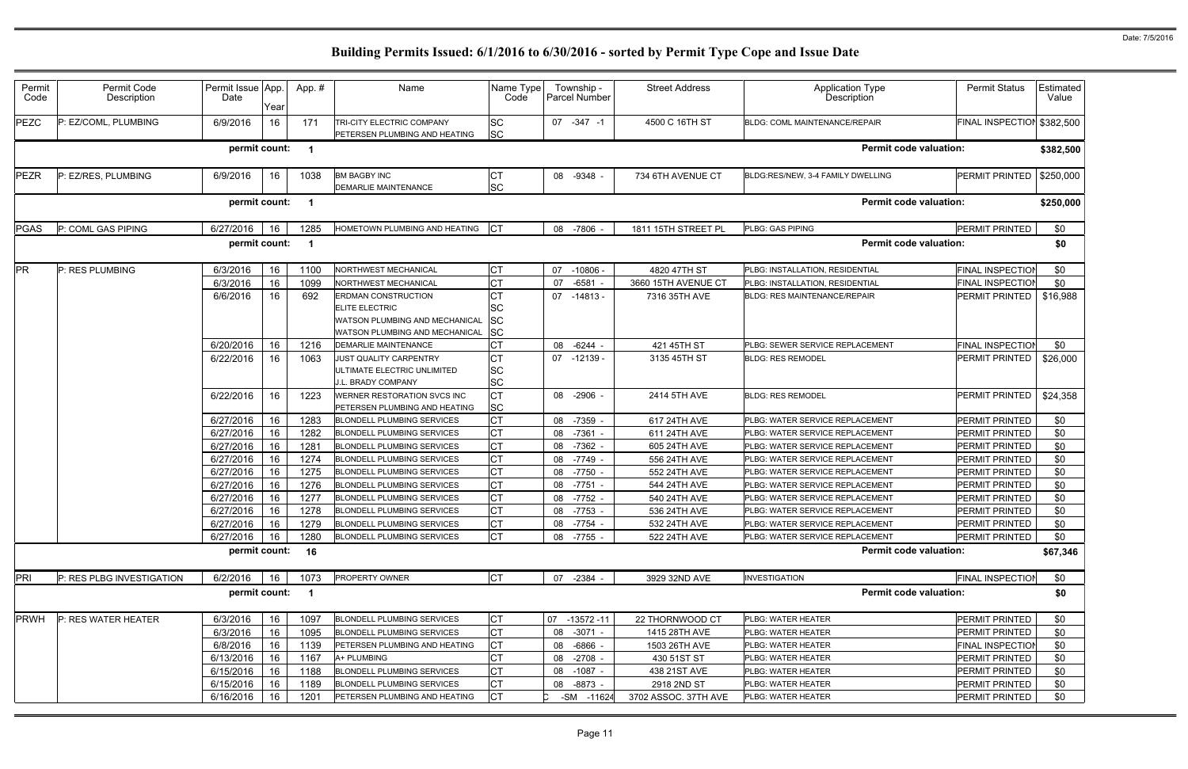| Permit<br>Code | Permit Code<br>Description | Permit Issue App.<br>Date | Year | App.#                   | Name                                                                                                             | Name Type  <br>Code                       | Township -<br><b>Parcel Number</b> | <b>Street Address</b>        | <b>Application Type</b><br>Description                             | <b>Permit Status</b>             | Estimated<br>Value |
|----------------|----------------------------|---------------------------|------|-------------------------|------------------------------------------------------------------------------------------------------------------|-------------------------------------------|------------------------------------|------------------------------|--------------------------------------------------------------------|----------------------------------|--------------------|
| <b>PEZC</b>    | EZ/COML, PLUMBING          | 6/9/2016                  | 16   | 171                     | TRI-CITY ELECTRIC COMPANY<br>PETERSEN PLUMBING AND HEATING                                                       | <b>SC</b><br><b>SC</b>                    | $07 - 347 - 1$                     | 4500 C 16TH ST               | <b>BLDG: COML MAINTENANCE/REPAIR</b>                               | FINAL INSPECTION \$382,500       |                    |
|                |                            | permit count:             |      | $\blacksquare$          |                                                                                                                  |                                           |                                    |                              | <b>Permit code valuation:</b>                                      |                                  | \$382,500          |
| PEZR           | P: EZ/RES, PLUMBING        | 6/9/2016                  | 16   | 1038                    | <b>BM BAGBY INC</b><br>DEMARLIE MAINTENANCE                                                                      | СT<br>SC                                  | 08 -9348 -                         | 734 6TH AVENUE CT            | BLDG:RES/NEW, 3-4 FAMILY DWELLING                                  | PERMIT PRINTED                   | \$250,000          |
|                |                            | permit count:             |      | - 1                     |                                                                                                                  |                                           |                                    |                              | <b>Permit code valuation:</b>                                      |                                  | \$250,000          |
| <b>PGAS</b>    | P: COML GAS PIPING         | 6/27/2016                 | 16   | 1285                    | HOMETOWN PLUMBING AND HEATING                                                                                    |                                           | 08 -7806                           | 1811 15TH STREET PL          | <b>PLBG: GAS PIPING</b>                                            | PERMIT PRINTED                   | \$0                |
|                |                            | permit count:             |      | $\overline{\mathbf{1}}$ |                                                                                                                  |                                           |                                    |                              | <b>Permit code valuation:</b>                                      |                                  | \$0                |
| <b>PR</b>      | P: RES PLUMBING            | 6/3/2016                  | 16   | 1100                    | NORTHWEST MECHANICAL                                                                                             | <b>CT</b>                                 | 07<br>$-10806$ -                   | 4820 47TH ST                 | PLBG: INSTALLATION, RESIDENTIAL                                    | <b>FINAL INSPECTIO</b>           | \$0                |
|                |                            | 6/3/2016                  | 16   | 1099                    | <b>NORTHWEST MECHANICAL</b>                                                                                      | <b>CT</b>                                 | $-6581$<br>07                      | 3660 15TH AVENUE CT          | PLBG: INSTALLATION, RESIDENTIAL                                    | <b>FINAL INSPECTION</b>          | \$0                |
|                |                            | 6/6/2016                  | 16   | 692                     | ERDMAN CONSTRUCTION<br>ELITE ELECTRIC<br>WATSON PLUMBING AND MECHANICAL<br><b>NATSON PLUMBING AND MECHANICAL</b> | <b>CT</b><br>SC<br><b>SC</b><br><b>SC</b> | 07 -14813 -                        | 7316 35TH AVE                | <b>BLDG: RES MAINTENANCE/REPAIR</b>                                | PERMIT PRINTED                   | \$16,988           |
|                |                            | 6/20/2016                 | 16   | 1216                    | DEMARLIE MAINTENANCE                                                                                             | СT                                        | $-6244$ -<br>08                    | 421 45TH ST                  | PLBG: SEWER SERVICE REPLACEMENT                                    | <b>FINAL INSPECTIOI</b>          | \$0                |
|                |                            | 6/22/2016                 | 16   | 1063                    | JUST QUALITY CARPENTRY<br>JLTIMATE ELECTRIC UNLIMITED<br>J.L. BRADY COMPANY                                      | <b>CT</b><br><b>SC</b><br>SC              | 07 -12139 -                        | 3135 45TH ST                 | <b>BLDG: RES REMODEL</b>                                           | PERMIT PRINTED                   | \$26,000           |
|                |                            | 6/22/2016                 | 16   | 1223                    | WERNER RESTORATION SVCS INC<br>PETERSEN PLUMBING AND HEATING                                                     | <b>CT</b><br><b>SC</b>                    | 08 -2906 -                         | 2414 5TH AVE                 | <b>BLDG: RES REMODEL</b>                                           | PERMIT PRINTED                   | \$24,358           |
|                |                            | 6/27/2016                 | 16   | 1283                    | <b>BLONDELL PLUMBING SERVICES</b>                                                                                | <b>CT</b>                                 | $-7359$<br>08                      | 617 24TH AVE                 | PLBG: WATER SERVICE REPLACEMENT                                    | PERMIT PRINTED                   | \$0                |
|                |                            | 6/27/2016                 | 16   | 1282                    | <b>BLONDELL PLUMBING SERVICES</b>                                                                                | <b>CT</b>                                 | $-7361 -$<br>08                    | 611 24TH AVE                 | PLBG: WATER SERVICE REPLACEMENT                                    | PERMIT PRINTED                   | \$0                |
|                |                            | 6/27/2016                 | 16   | 1281                    | <b>BLONDELL PLUMBING SERVICES</b>                                                                                | <b>CT</b>                                 | 08 -7362 -                         | 605 24TH AVE                 | PLBG: WATER SERVICE REPLACEMENT                                    | PERMIT PRINTED                   | \$0                |
|                |                            | 6/27/2016                 | 16   | 1274                    | <b>BLONDELL PLUMBING SERVICES</b>                                                                                | <b>CT</b>                                 | $-7749$<br>08                      | 556 24TH AVE                 | PLBG: WATER SERVICE REPLACEMENT                                    | PERMIT PRINTED                   | \$0                |
|                |                            | 6/27/2016                 | 16   | 1275                    | <b>BLONDELL PLUMBING SERVICES</b>                                                                                | <b>CT</b>                                 | 08<br>-7750 -                      | 552 24TH AVE                 | PLBG: WATER SERVICE REPLACEMENT                                    | PERMIT PRINTED                   | \$0                |
|                |                            | 6/27/2016                 | 16   | 1276                    | <b>BLONDELL PLUMBING SERVICES</b>                                                                                | <b>CT</b><br><b>CT</b>                    | -7751<br>08                        | 544 24TH AVE<br>540 24TH AVE | PLBG: WATER SERVICE REPLACEMENT                                    | PERMIT PRINTED                   | \$0<br>\$0         |
|                |                            | 6/27/2016<br>6/27/2016 16 | 16   | 1277<br>1278            | <b>BLONDELL PLUMBING SERVICES</b><br><b>BLONDELL PLUMBING SERVICES</b>                                           | СT                                        | 08 -7752 -<br>08 -7753             | 536 24TH AVE                 | PLBG: WATER SERVICE REPLACEMENT<br>PLBG: WATER SERVICE REPLACEMENT | PERMIT PRINTED<br>PERMIT PRINTED | \$0                |
|                |                            | 6/27/2016                 | 16   | 1279                    | <b>BLONDELL PLUMBING SERVICES</b>                                                                                | <b>CT</b>                                 | 08 -7754 -                         | 532 24TH AVE                 | PLBG: WATER SERVICE REPLACEMENT                                    | PERMIT PRINTED                   | \$0                |
|                |                            | 6/27/2016                 | 16   | 1280                    | <b>BLONDELL PLUMBING SERVICES</b>                                                                                | <b>CT</b>                                 | 08 -7755 -                         | 522 24TH AVE                 | PLBG: WATER SERVICE REPLACEMENT                                    | PERMIT PRINTED                   | \$0                |
|                |                            | permit count: 16          |      |                         |                                                                                                                  |                                           |                                    |                              | <b>Permit code valuation:</b>                                      |                                  | \$67,346           |
| PRI            | P: RES PLBG INVESTIGATION  | 6/2/2016                  | 16   | 1073                    | PROPERTY OWNER                                                                                                   | <b>CT</b>                                 | 07 -2384 -                         | 3929 32ND AVE                | <b>INVESTIGATION</b>                                               | FINAL INSPECTIOI                 | \$0                |
|                |                            | permit count:             |      | $\blacksquare$          |                                                                                                                  |                                           |                                    |                              | <b>Permit code valuation:</b>                                      |                                  | \$0                |
| <b>PRWH</b>    | P: RES WATER HEATER        | 6/3/2016                  | 16   | 1097                    | <b>BLONDELL PLUMBING SERVICES</b>                                                                                | <b>CT</b>                                 | $-13572 - 11$<br>07                | 22 THORNWOOD CT              | PLBG: WATER HEATER                                                 | PERMIT PRINTED                   | \$0                |
|                |                            | 6/3/2016                  | 16   | 1095                    | <b>BLONDELL PLUMBING SERVICES</b>                                                                                | <b>CT</b>                                 | 08 -3071 -                         | 1415 28TH AVE                | PLBG: WATER HEATER                                                 | PERMIT PRINTED                   | \$0                |
|                |                            | 6/8/2016                  | 16   | 1139                    | PETERSEN PLUMBING AND HEATING                                                                                    | <b>CT</b>                                 | 08 -6866 -                         | 1503 26TH AVE                | PLBG: WATER HEATER                                                 | <b>FINAL INSPECTIOI</b>          | \$0                |
|                |                            | 6/13/2016                 | 16   | 1167                    | A+ PLUMBING                                                                                                      | <b>CT</b>                                 | 08 -2708 -                         | 430 51ST ST                  | PLBG: WATER HEATER                                                 | PERMIT PRINTED                   | \$0                |
|                |                            | 6/15/2016                 | 16   | 1188                    | <b>BLONDELL PLUMBING SERVICES</b>                                                                                | <b>CT</b>                                 | 08 -1087 -                         | 438 21ST AVE                 | PLBG: WATER HEATER                                                 | PERMIT PRINTED                   | \$0                |
|                |                            | 6/15/2016                 | 16   | 1189                    | <b>BLONDELL PLUMBING SERVICES</b>                                                                                | <b>CT</b>                                 | 08 -8873 -                         | 2918 2ND ST                  | PLBG: WATER HEATER                                                 | PERMIT PRINTED                   | \$0                |
|                |                            | 6/16/2016                 | 16   | 1201                    | PETERSEN PLUMBING AND HEATING                                                                                    | <b>CT</b>                                 | -SM -11624                         | 3702 ASSOC. 37TH AVE         | PLBG: WATER HEATER                                                 | PERMIT PRINTED                   | \$0                |